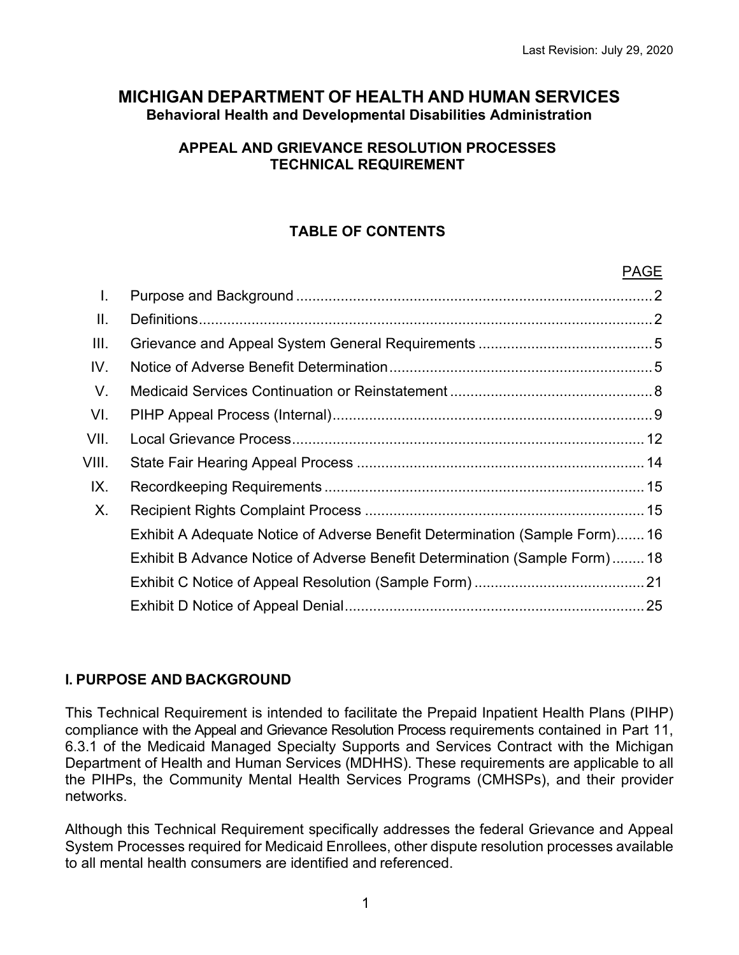$\overline{\phantom{a}}$ 

# **MICHIGAN DEPARTMENT OF HEALTH AND HUMAN SERVICES Behavioral Health and Developmental Disabilities Administration**

# **APPEAL AND GRIEVANCE RESOLUTION PROCESSES TECHNICAL REQUIREMENT**

# **TABLE OF CONTENTS**

|       |                                                                            | PAGE |
|-------|----------------------------------------------------------------------------|------|
| I.    |                                                                            |      |
| Ⅱ.    |                                                                            |      |
| III.  |                                                                            |      |
| IV.   |                                                                            |      |
| V.    |                                                                            |      |
| VI.   |                                                                            |      |
| VII.  |                                                                            |      |
| VIII. |                                                                            |      |
| IX.   |                                                                            |      |
| Χ.    |                                                                            |      |
|       | Exhibit A Adequate Notice of Adverse Benefit Determination (Sample Form)16 |      |
|       | Exhibit B Advance Notice of Adverse Benefit Determination (Sample Form)18  |      |
|       |                                                                            |      |
|       |                                                                            |      |
|       |                                                                            |      |

# **I. PURPOSE AND BACKGROUND**

This Technical Requirement is intended to facilitate the Prepaid Inpatient Health Plans (PIHP) compliance with the Appeal and Grievance Resolution Process requirements contained in Part 11, 6.3.1 of the Medicaid Managed Specialty Supports and Services Contract with the Michigan Department of Health and Human Services (MDHHS). These requirements are applicable to all the PIHPs, the Community Mental Health Services Programs (CMHSPs), and their provider networks.

Although this Technical Requirement specifically addresses the federal Grievance and Appeal System Processes required for Medicaid Enrollees, other dispute resolution processes available to all mental health consumers are identified and referenced.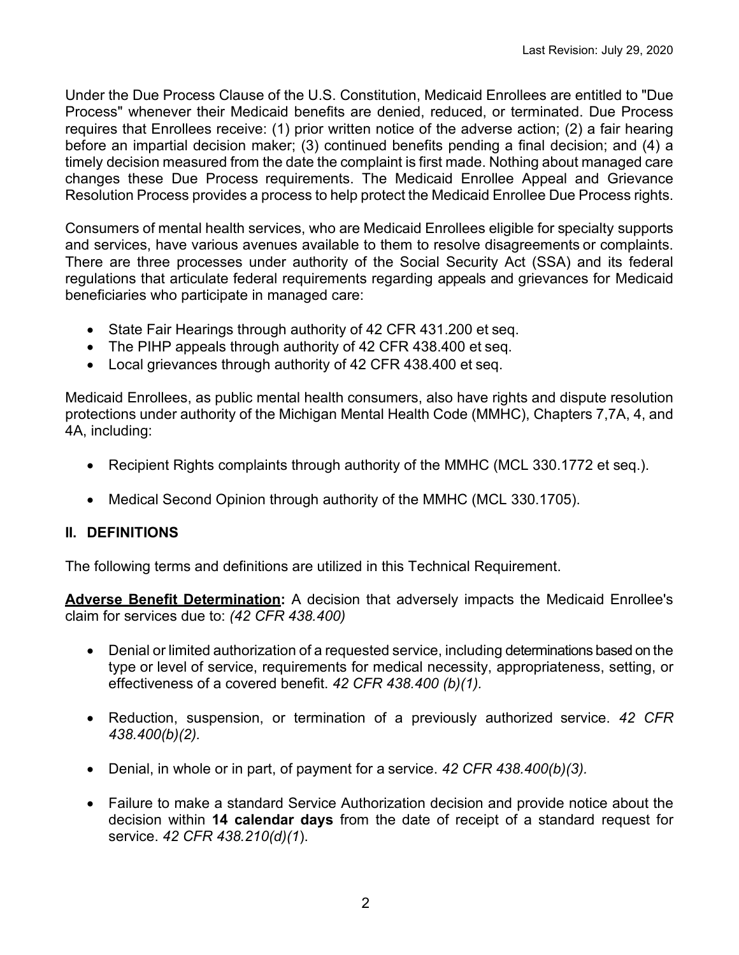Under the Due Process Clause of the U.S. Constitution, Medicaid Enrollees are entitled to "Due Process" whenever their Medicaid benefits are denied, reduced, or terminated. Due Process requires that Enrollees receive: (1) prior written notice of the adverse action; (2) a fair hearing before an impartial decision maker; (3) continued benefits pending a final decision; and (4) a timely decision measured from the date the complaint is first made. Nothing about managed care changes these Due Process requirements. The Medicaid Enrollee Appeal and Grievance Resolution Process provides a process to help protect the Medicaid Enrollee Due Process rights.

Consumers of mental health services, who are Medicaid Enrollees eligible for specialty supports and services, have various avenues available to them to resolve disagreements or complaints. There are three processes under authority of the Social Security Act (SSA) and its federal regulations that articulate federal requirements regarding appeals and grievances for Medicaid beneficiaries who participate in managed care:

- State Fair Hearings through authority of 42 CFR 431.200 et seq.
- The PIHP appeals through authority of 42 CFR 438.400 et seq.
- Local grievances through authority of 42 CFR 438.400 et seq.

Medicaid Enrollees, as public mental health consumers, also have rights and dispute resolution protections under authority of the Michigan Mental Health Code (MMHC), Chapters 7,7A, 4, and 4A, including:

- Recipient Rights complaints through authority of the MMHC (MCL 330.1772 et seq.).
- Medical Second Opinion through authority of the MMHC (MCL 330.1705).

## **II. DEFINITIONS**

The following terms and definitions are utilized in this Technical Requirement.

**Adverse Benefit Determination:** A decision that adversely impacts the Medicaid Enrollee's claim for services due to: *(42 CFR 438.400)*

- Denial or limited authorization of a requested service, including determinations based on the type or level of service, requirements for medical necessity, appropriateness, setting, or effectiveness of a covered benefit. *42 CFR 438.400 (b)(1).*
- Reduction, suspension, or termination of a previously authorized service. *42 CFR 438.400(b)(2).*
- Denial, in whole or in part, of payment for a service. *42 CFR 438.400(b)(3).*
- Failure to make a standard Service Authorization decision and provide notice about the decision within **14 calendar days** from the date of receipt of a standard request for service. *42 CFR 438.210(d)(1*).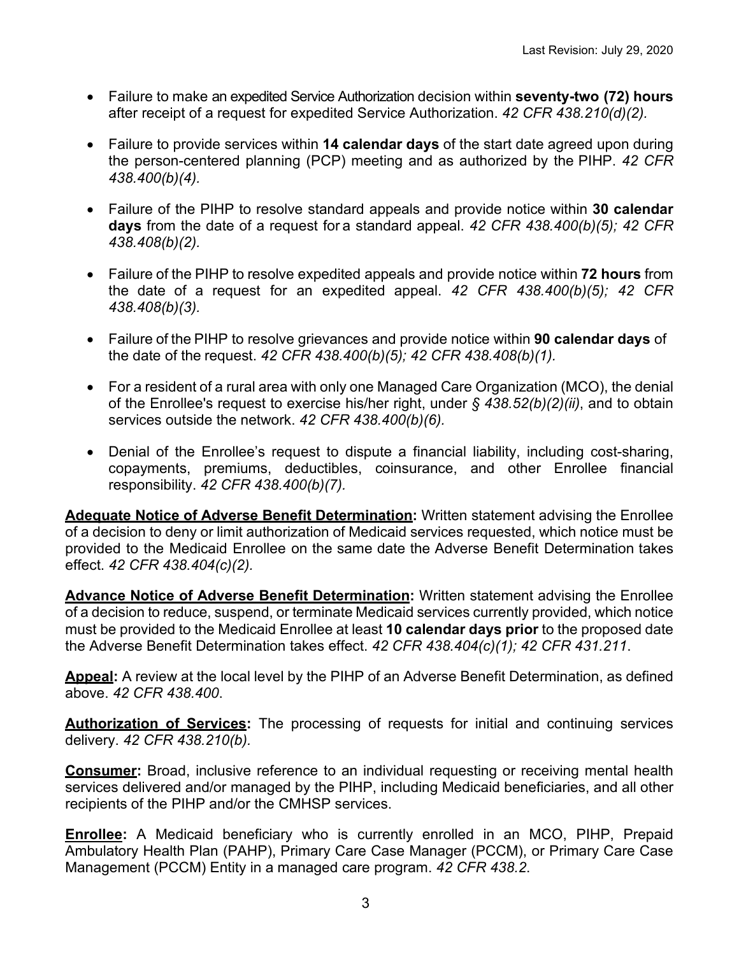- Failure to make an expedited Service Authorization decision within **seventy-two (72) hours** after receipt of a request for expedited Service Authorization. *42 CFR 438.210(d)(2).*
- Failure to provide services within **14 calendar days** of the start date agreed upon during the person-centered planning (PCP) meeting and as authorized by the PIHP. *42 CFR 438.400(b)(4).*
- Failure of the PIHP to resolve standard appeals and provide notice within **30 calendar days** from the date of a request for a standard appeal. *42 CFR 438.400(b)(5); 42 CFR 438.408(b)(2).*
- Failure of the PIHP to resolve expedited appeals and provide notice within **72 hours** from the date of a request for an expedited appeal. *42 CFR 438.400(b)(5); 42 CFR 438.408(b)(3).*
- Failure of the PIHP to resolve grievances and provide notice within **90 calendar days** of the date of the request. *42 CFR 438.400(b)(5); 42 CFR 438.408(b)(1).*
- For a resident of a rural [area](https://www.law.cornell.edu/definitions/index.php?width=840&height=800&iframe=true&def_id=d6b2c937e28f2e067f124bda4cfe0eb9&term_occur=1&term_src=Title:42:Chapter:IV:Subchapter:C:Part:438:Subpart:F:438.400) with only one Managed Care Organization [\(MCO\)](https://www.law.cornell.edu/definitions/index.php?width=840&height=800&iframe=true&def_id=1daf12b5f60f2d316a82cf2b0c33d729&term_occur=3&term_src=Title:42:Chapter:IV:Subchapter:C:Part:438:Subpart:F:438.400), the denial of the [Enrollee'](https://www.law.cornell.edu/definitions/index.php?width=840&height=800&iframe=true&def_id=05539ddefc2d256d3e81e2d4e6e7c852&term_occur=1&term_src=Title:42:Chapter:IV:Subchapter:C:Part:438:Subpart:F:438.400)s request to exercise his/her right, under *[§ 438.52\(b\)\(2\)\(ii\)](https://www.law.cornell.edu/cfr/text/42/438.52#b_2_ii)*, and to obtain services outside the [network.](https://www.law.cornell.edu/definitions/index.php?width=840&height=800&iframe=true&def_id=80360f4a6529994d1999c43b2ca9249f&term_occur=1&term_src=Title:42:Chapter:IV:Subchapter:C:Part:438:Subpart:F:438.400) *42 CFR 438.400(b)(6).*
- Denial of the Enrollee's request to dispute a financial liability, including cost-sharing, copayments, premiums, deductibles, coinsurance, and other Enrollee financial responsibility. *42 CFR 438.400(b)(7).*

**Adequate Notice of Adverse Benefit Determination:** Written statement advising the Enrollee of a decision to deny or limit authorization of Medicaid services requested, which notice must be provided to the Medicaid Enrollee on the same date the Adverse Benefit Determination takes effect. *42 CFR 438.404(c)(2).*

**Advance Notice of Adverse Benefit Determination:** Written statement advising the Enrollee of a decision to reduce, suspend, or terminate Medicaid services currently provided, which notice must be provided to the Medicaid Enrollee at least **10 calendar days prior** to the proposed date the Adverse Benefit Determination takes effect. *42 CFR 438.404(c)(1); 42 CFR 431.211*.

**Appeal:** A review at the local level by the PIHP of an Adverse Benefit Determination, as defined above. *42 CFR 438.400*.

**Authorization of Services:** The processing of requests for initial and continuing services delivery. *42 CFR 438.210(b).*

**Consumer:** Broad, inclusive reference to an individual requesting or receiving mental health services delivered and/or managed by the PIHP, including Medicaid beneficiaries, and all other recipients of the PIHP and/or the CMHSP services.

**Enrollee:** A Medicaid beneficiary who is currently enrolled in an MCO, PIHP, Prepaid Ambulatory Health Plan (PAHP), Primary Care Case Manager (PCCM), or Primary Care Case Management (PCCM) Entity in a managed care program. *42 CFR 438.2*.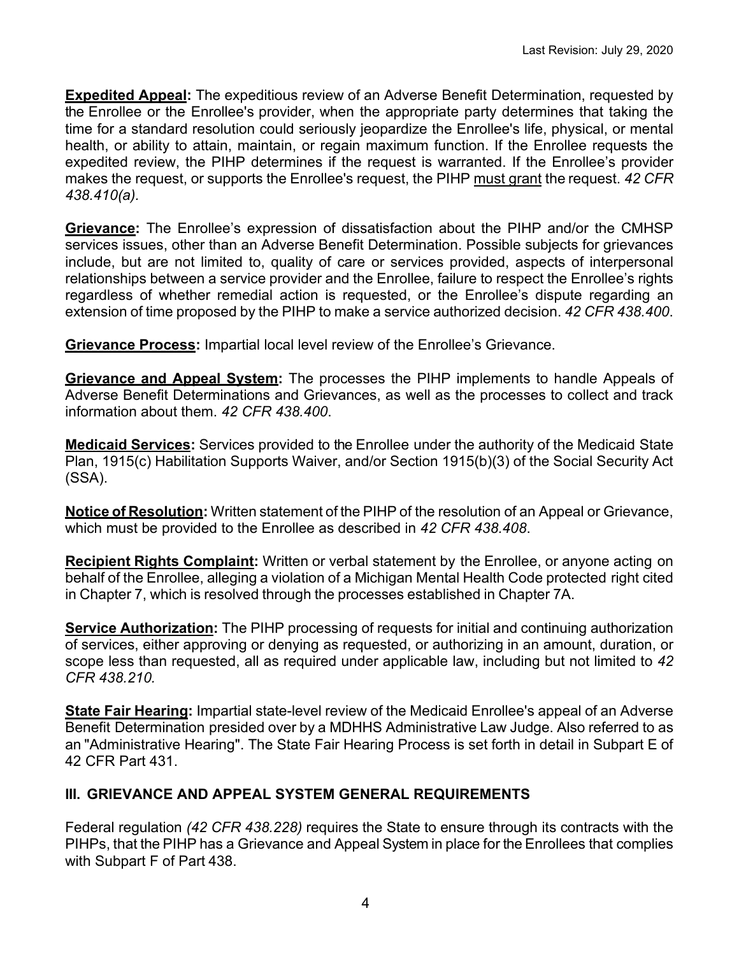**Expedited Appeal:** The expeditious review of an Adverse Benefit Determination, requested by the Enrollee or the Enrollee's provider, when the appropriate party determines that taking the time for a standard resolution could seriously jeopardize the [Enrollee's](https://www.law.cornell.edu/definitions/index.php?width=840&height=800&iframe=true&def_id=05539ddefc2d256d3e81e2d4e6e7c852&term_occur=3&term_src=Title:42:Chapter:IV:Subchapter:C:Part:438:Subpart:F:438.410) life, physical, or mental health, or ability to attain, maintain, or regain maximum function. If the Enrollee requests the expedited review, the PIHP determines if the request is warranted. If the Enrollee's provider makes the request, or supports the Enrollee's request, the PIHP must grant the request. *42 CFR 438.410(a).*

**Grievance:** The Enrollee's expression of dissatisfaction about the PIHP and/or the CMHSP services issues, other than an Adverse Benefit Determination. Possible subjects for grievances include, but are not limited to, quality of care or services provided, aspects of interpersonal relationships between a service provider and the Enrollee, failure to respect the Enrollee's rights regardless of whether remedial action is requested, or the Enrollee's dispute regarding an extension of time proposed by the PIHP to make a service authorized decision. *42 CFR 438.400*.

**Grievance Process:** Impartial local level review of the Enrollee's Grievance.

**Grievance and Appeal System:** The processes the [PIHP](https://www.law.cornell.edu/definitions/index.php?width=840&height=800&iframe=true&def_id=04b13365cdf0c37f21582e1c74c6bf02&term_occur=5&term_src=Title:42:Chapter:IV:Subchapter:C:Part:438:Subpart:F:438.400) implements to handle [Appeals](https://www.law.cornell.edu/definitions/index.php?width=840&height=800&iframe=true&def_id=7bc2fd55f34646d2019b9fd8fad3703c&term_occur=1&term_src=Title:42:Chapter:IV:Subchapter:C:Part:438:Subpart:F:438.400) of Adverse Benefit Determinations and Grievances, as well as the processes to collect and track information about them. *42 CFR 438.400*.

**Medicaid Services:** Services provided to the Enrollee under the authority of the Medicaid State Plan, 1915(c) Habilitation Supports Waiver, and/or Section 1915(b)(3) of the Social Security Act (SSA).

**Notice of Resolution:** Written statement of the PIHP of the resolution of an Appeal or Grievance, which must be provided to the Enrollee as described in *42 CFR 438.408*.

**Recipient Rights Complaint:** Written or verbal statement by the Enrollee, or anyone acting on behalf of the Enrollee, alleging a violation of a Michigan Mental Health Code protected right cited in Chapter 7, which is resolved through the processes established in Chapter 7A.

**Service Authorization:** The PIHP processing of requests for initial and continuing authorization of services, either approving or denying as requested, or authorizing in an amount, duration, or scope less than requested, all as required under applicable law, including but not limited to *42 CFR 438.210.*

**State Fair Hearing:** Impartial state-level review of the Medicaid Enrollee's appeal of an Adverse Benefit Determination presided over by a MDHHS Administrative Law Judge. Also referred to as an "Administrative Hearing". The State Fair Hearing Process is set forth in detail in Subpart E of 42 CFR Part 431.

# **III. GRIEVANCE AND APPEAL SYSTEM GENERAL REQUIREMENTS**

Federal regulation *(42 CFR 438.228)* requires the State to ensure through its contracts with the PIHPs, that the PIHP has a Grievance and Appeal System in place for the Enrollees that complies with Subpart F of Part 438.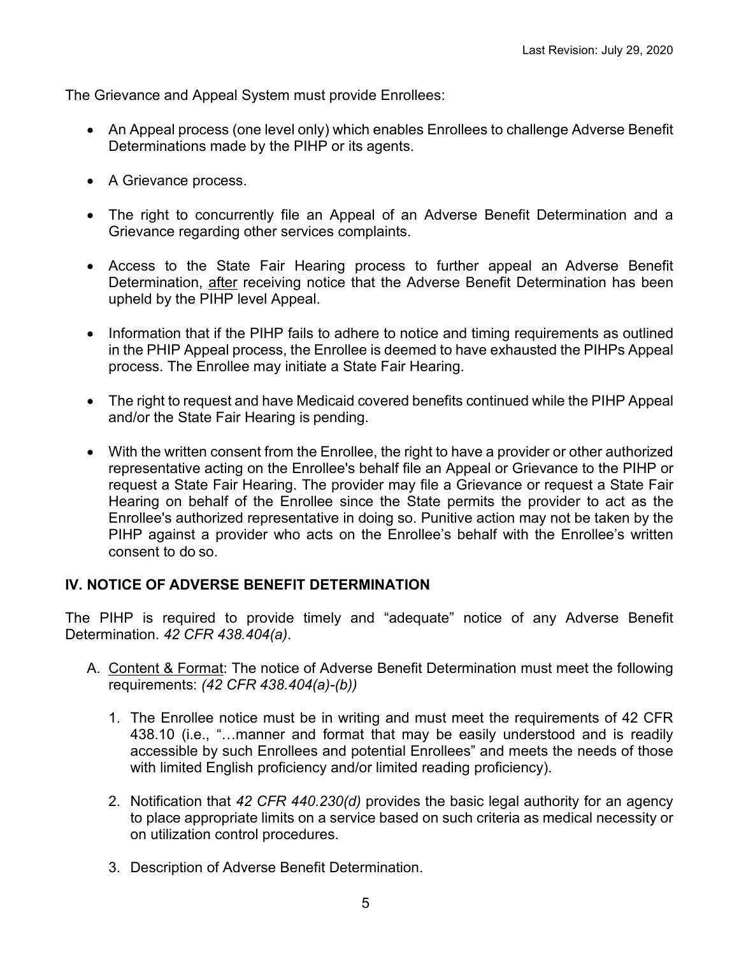The Grievance and Appeal System must provide Enrollees:

- An Appeal process (one level only) which enables Enrollees to challenge Adverse Benefit Determinations made by the PIHP or its agents.
- A Grievance process.
- The right to concurrently file an Appeal of an Adverse Benefit Determination and a Grievance regarding other services complaints.
- Access to the State Fair Hearing process to further appeal an Adverse Benefit Determination, after receiving notice that the Adverse Benefit Determination has been upheld by the PIHP level Appeal.
- Information that if the PIHP fails to adhere to notice and timing requirements as outlined in the PHIP Appeal process, the Enrollee is deemed to have exhausted the PIHPs Appeal process. The Enrollee may initiate a State Fair Hearing.
- The right to request and have Medicaid covered benefits continued while the PIHP Appeal and/or the State Fair Hearing is pending.
- With the written consent from the Enrollee, the right to have a provider or other authorized representative acting on the Enrollee's behalf file an Appeal or Grievance to the PIHP or request a State Fair Hearing. The provider may file a Grievance or request a State Fair Hearing on behalf of the Enrollee since the State permits the provider to act as the Enrollee's authorized representative in doing so. Punitive action may not be taken by the PIHP against a provider who acts on the Enrollee's behalf with the Enrollee's written consent to do so.

## **IV. NOTICE OF ADVERSE BENEFIT DETERMINATION**

The PIHP is required to provide timely and "adequate" notice of any Adverse Benefit Determination. *42 CFR 438.404(a)*.

- A. Content & Format: The notice of Adverse Benefit Determination must meet the following requirements: *(42 CFR 438.404(a)-(b))*
	- 1. The Enrollee notice must be in writing and must meet the requirements of 42 CFR 438.10 (i.e., "…manner and format that may be easily understood and is [readily](https://www.law.cornell.edu/definitions/index.php?width=840&height=800&iframe=true&def_id=1eaade7c559b87a22cb8e9f60d78165a&term_occur=1&term_src=Title:42:Chapter:IV:Subchapter:C:Part:438:Subpart:A:438.10)  [accessible](https://www.law.cornell.edu/definitions/index.php?width=840&height=800&iframe=true&def_id=1eaade7c559b87a22cb8e9f60d78165a&term_occur=1&term_src=Title:42:Chapter:IV:Subchapter:C:Part:438:Subpart:A:438.10) by such Enrollees and [potential Enrollees"](https://www.law.cornell.edu/definitions/index.php?width=840&height=800&iframe=true&def_id=fa40dc6b10a33ea7e048b595be894a56&term_occur=4&term_src=Title:42:Chapter:IV:Subchapter:C:Part:438:Subpart:A:438.10) and meets the needs of those with limited English proficiency and/or limited reading proficiency).
	- 2. Notification that *42 CFR 440.230(d)* provides the basic legal authority for an agency to place appropriate limits on a service based on such criteria as medical necessity or on utilization control procedures.
	- 3. Description of Adverse Benefit Determination.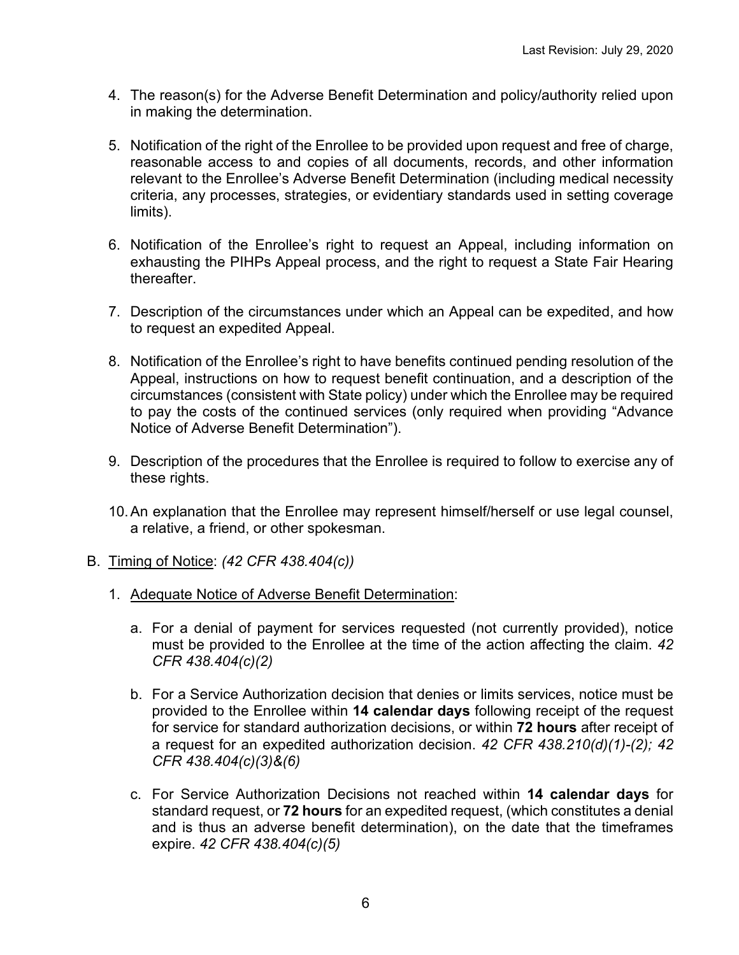- 4. The reason(s) for the Adverse Benefit Determination and policy/authority relied upon in making the determination.
- 5. Notification of the right of the Enrollee to be provided upon request and free of charge, reasonable access to and copies of all documents, records, and other information relevant to the Enrollee's Adverse Benefit Determination (including medical necessity criteria, any processes, strategies, or evidentiary standards used in setting coverage limits).
- 6. Notification of the Enrollee's right to request an Appeal, including information on exhausting the PIHPs Appeal process, and the right to request a State Fair Hearing thereafter.
- 7. Description of the circumstances under which an Appeal can be expedited, and how to request an expedited Appeal.
- 8. Notification of the Enrollee's right to have benefits continued pending resolution of the Appeal, instructions on how to request benefit continuation, and a description of the circumstances (consistent with State policy) under which the Enrollee may be required to pay the costs of the continued services (only required when providing "Advance Notice of Adverse Benefit Determination").
- 9. Description of the procedures that the Enrollee is required to follow to exercise any of these rights.
- 10.An explanation that the Enrollee may represent himself/herself or use legal counsel, a relative, a friend, or other spokesman.
- B. Timing of Notice: *(42 CFR 438.404(c))*
	- 1. Adequate Notice of Adverse Benefit Determination:
		- a. For a denial of payment for services requested (not currently provided), notice must be provided to the Enrollee at the time of the action affecting the claim. *42 CFR 438.404(c)(2)*
		- b. For a Service Authorization decision that denies or limits services, notice must be provided to the Enrollee within **14 calendar days** following receipt of the request for service for standard authorization decisions, or within **72 hours** after receipt of a request for an expedited authorization decision. *42 CFR 438.210(d)(1)-(2); 42 CFR 438.404(c)(3)&(6)*
		- c. For Service Authorization Decisions not reached within **14 calendar days** for standard request, or **72 hours** for an expedited request, (which constitutes a denial and is thus an adverse benefit determination), on the date that the timeframes expire. *42 CFR 438.404(c)(5)*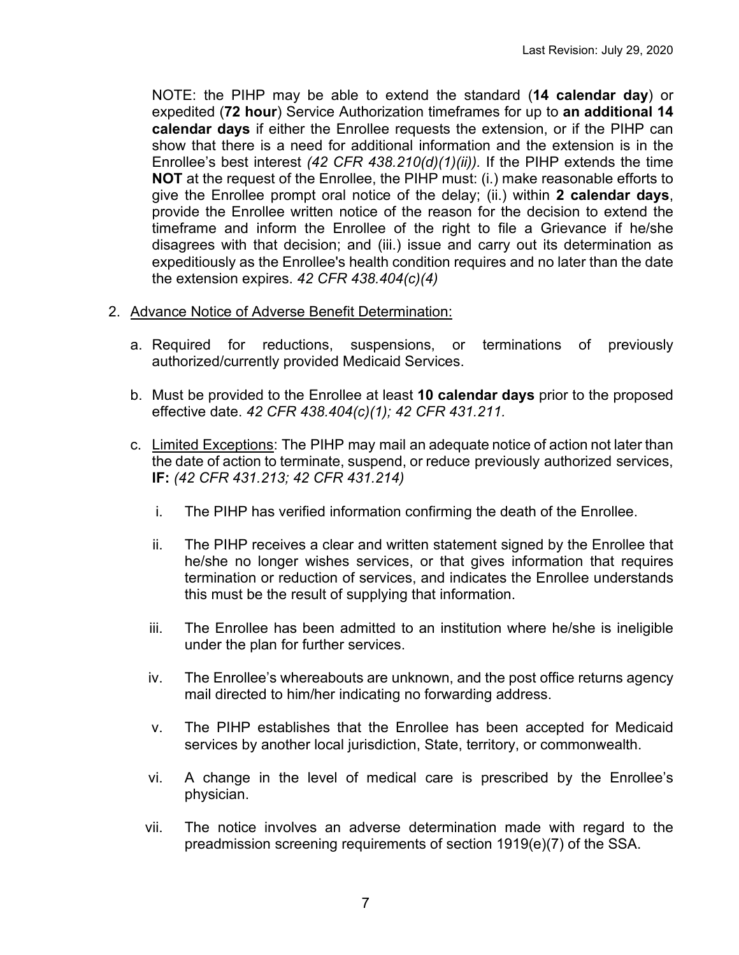NOTE: the PIHP may be able to extend the standard (**14 calendar day**) or expedited (**72 hour**) Service Authorization timeframes for up to **an additional 14 calendar days** if either the Enrollee requests the extension, or if the PIHP can show that there is a need for additional information and the extension is in the Enrollee's best interest *[\(42 CFR 438.210\(d\)\(1\)\(ii\)\)](https://www.law.cornell.edu/cfr/text/42/438.210#d_1_ii).* If the PIHP extends the time **NOT** at the request of the Enrollee, the PIHP must: (i.) make reasonable efforts to give the Enrollee prompt oral notice of the delay; (ii.) within **2 calendar days**, provide the [Enrollee](https://www.law.cornell.edu/definitions/index.php?width=840&height=800&iframe=true&def_id=05539ddefc2d256d3e81e2d4e6e7c852&term_occur=7&term_src=Title:42:Chapter:IV:Subchapter:C:Part:438:Subpart:F:438.404) written [notice](https://www.law.cornell.edu/definitions/index.php?width=840&height=800&iframe=true&def_id=056aed00403d12615cf8673ac47ed44e&term_occur=5&term_src=Title:42:Chapter:IV:Subchapter:C:Part:438:Subpart:F:438.404) of the reason for the decision to extend the timeframe and inform the [Enrollee](https://www.law.cornell.edu/definitions/index.php?width=840&height=800&iframe=true&def_id=05539ddefc2d256d3e81e2d4e6e7c852&term_occur=8&term_src=Title:42:Chapter:IV:Subchapter:C:Part:438:Subpart:F:438.404) of the right to file a [Grievance](https://www.law.cornell.edu/definitions/index.php?width=840&height=800&iframe=true&def_id=3b0a2e73ccb28af32d7e4b1502dd72aa&term_occur=1&term_src=Title:42:Chapter:IV:Subchapter:C:Part:438:Subpart:F:438.404) if he/she disagrees with that decision; and (iii.) issue and carry out its determination as expeditiously as the [Enrollee'](https://www.law.cornell.edu/definitions/index.php?width=840&height=800&iframe=true&def_id=05539ddefc2d256d3e81e2d4e6e7c852&term_occur=9&term_src=Title:42:Chapter:IV:Subchapter:C:Part:438:Subpart:F:438.404)s health condition requires and no later than the date the extension expires. *42 CFR 438.404(c)(4)*

- 2. Advance Notice of Adverse Benefit Determination:
	- a. Required for reductions, suspensions, or terminations of previously authorized/currently provided Medicaid Services.
	- b. Must be provided to the Enrollee at least **10 calendar days** prior to the proposed effective date. *42 CFR 438.404(c)(1); 42 CFR 431.211.*
	- c. Limited Exceptions: The PIHP may mail an adequate notice of action not later than the date of action to terminate, suspend, or reduce previously authorized services, **IF:** *(42 CFR 431.213; 42 CFR 431.214)*
		- i. The PIHP has verified information confirming the death of the Enrollee.
		- ii. The PIHP receives a clear and written statement signed by the Enrollee that he/she no longer wishes services, or that gives information that requires termination or reduction of services, and indicates the Enrollee understands this must be the result of supplying that information.
		- iii. The Enrollee has been admitted to an institution where he/she is ineligible under the plan for further services.
		- iv. The Enrollee's whereabouts are unknown, and the post office returns [agency](https://www.law.cornell.edu/definitions/index.php?width=840&height=800&iframe=true&def_id=bd51e09ddebcb96c4bc06cab4f0f5067&term_occur=4&term_src=Title:42:Chapter:IV:Subchapter:C:Part:431:Subpart:E:Subjgrp:11:431.213) mail directed to him/her indicating no forwarding address.
		- v. The PIHP establishes that the Enrollee has been accepted for [Medicaid](https://www.law.cornell.edu/definitions/index.php?width=840&height=800&iframe=true&def_id=0e504496534ec33a1f9a4f95c7a8fa57&term_occur=1&term_src=Title:42:Chapter:IV:Subchapter:C:Part:431:Subpart:E:Subjgrp:11:431.213) services by another local jurisdiction, State, territory, or commonwealth.
		- vi. A change in the level of medical care is prescribed by the Enrollee's physician.
		- vii. The [notice](https://www.law.cornell.edu/definitions/index.php?width=840&height=800&iframe=true&def_id=4562f09c7e98b4e9a32adb7fdc2cd0a1&term_occur=3&term_src=Title:42:Chapter:IV:Subchapter:C:Part:431:Subpart:E:Subjgrp:11:431.213) involves an [adverse determination](https://www.law.cornell.edu/definitions/index.php?width=840&height=800&iframe=true&def_id=f484acf99811d23f7b2f5e7ff8f4fd42&term_occur=1&term_src=Title:42:Chapter:IV:Subchapter:C:Part:431:Subpart:E:Subjgrp:11:431.213) made with regard to the preadmission screening requirements of section 1919(e)(7) of the S[SA.](https://www.law.cornell.edu/definitions/index.php?width=840&height=800&iframe=true&def_id=3d07eea841654df2266f7a9fd3632f4c&term_occur=1&term_src=Title:42:Chapter:IV:Subchapter:C:Part:431:Subpart:E:Subjgrp:11:431.213)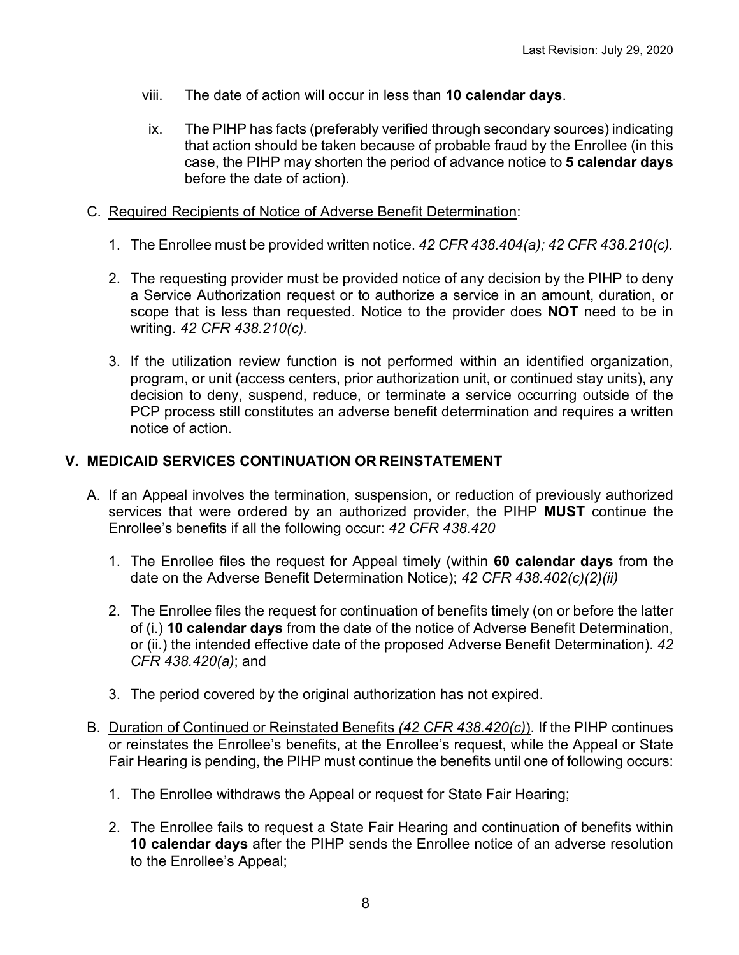- viii. The [date of action](https://www.law.cornell.edu/definitions/index.php?width=840&height=800&iframe=true&def_id=908f811b50e60a8b61326cdfbfbee940&term_occur=2&term_src=Title:42:Chapter:IV:Subchapter:C:Part:431:Subpart:E:Subjgrp:11:431.213) will occur in less than **10 calendar [days](https://www.law.cornell.edu/definitions/index.php?width=840&height=800&iframe=true&def_id=22279f24e7d9fe484dd3e6548a3773e4&term_occur=1&term_src=Title:42:Chapter:IV:Subchapter:C:Part:431:Subpart:E:Subjgrp:11:431.213)**.
- ix. The PIHP has facts (preferably verified through secondary sources) indicating that [action](https://www.law.cornell.edu/definitions/index.php?width=840&height=800&iframe=true&def_id=afb09e5aeb6917b775ad61a5557c1406&term_occur=1&term_src=Title:42:Chapter:IV:Subchapter:C:Part:431:Subpart:E:Subjgrp:11:431.214) should be taken because of probable fraud by the Enrollee (in this case, the PIHP may shorten the period of advance [notice](https://www.law.cornell.edu/definitions/index.php?width=840&height=800&iframe=true&def_id=4562f09c7e98b4e9a32adb7fdc2cd0a1&term_occur=2&term_src=Title:42:Chapter:IV:Subchapter:C:Part:431:Subpart:E:Subjgrp:11:431.214) to **5 calendar [days](https://www.law.cornell.edu/definitions/index.php?width=840&height=800&iframe=true&def_id=22279f24e7d9fe484dd3e6548a3773e4&term_occur=1&term_src=Title:42:Chapter:IV:Subchapter:C:Part:431:Subpart:E:Subjgrp:11:431.214)** before the [date of action\)](https://www.law.cornell.edu/definitions/index.php?width=840&height=800&iframe=true&def_id=908f811b50e60a8b61326cdfbfbee940&term_occur=1&term_src=Title:42:Chapter:IV:Subchapter:C:Part:431:Subpart:E:Subjgrp:11:431.214).

### C. Required Recipients of Notice of Adverse Benefit Determination:

- 1. The Enrollee must be provided written notice. *42 CFR 438.404(a); 42 CFR 438.210(c).*
- 2. The requesting provider must be provided notice of any decision by the PIHP to deny a Service Authorization request or to authorize a service in an amount, duration, or scope that is less than requested. Notice to the provider does **NOT** need to be in writing. *42 CFR 438.210(c).*
- 3. If the utilization review function is not performed within an identified organization, program, or unit (access centers, prior authorization unit, or continued stay units), any decision to deny, suspend, reduce, or terminate a service occurring outside of the PCP process still constitutes an adverse benefit determination and requires a written notice of action.

## **V. MEDICAID SERVICES CONTINUATION OR REINSTATEMENT**

- A. If an Appeal involves the termination, suspension, or reduction of previously authorized services that were ordered by an authorized provider, the PIHP **MUST** continue the Enrollee's benefits if all the following occur: *42 CFR 438.420*
	- 1. The Enrollee files the request for Appeal timely (within **60 calendar days** from the date on the Adverse Benefit Determination Notice); *42 CFR 438.402(c)(2)(ii)*
	- 2. The Enrollee files the request for continuation of benefits timely (on or before the latter of (i.) **10 calendar days** from the date of the notice of Adverse Benefit Determination, or (ii.) the intended effective date of the proposed Adverse Benefit Determination). *42 CFR 438.420(a)*; and
	- 3. The period covered by the original authorization has not expired.
- B. Duration of Continued or Reinstated Benefits *(42 CFR 438.420(c)*). If the PIHP continues or reinstates the Enrollee's benefits, at the Enrollee's request, while the Appeal or State Fair Hearing is pending, the PIHP must continue the benefits until one of following occurs:
	- 1. The [Enrollee](https://www.law.cornell.edu/definitions/index.php?width=840&height=800&iframe=true&def_id=05539ddefc2d256d3e81e2d4e6e7c852&term_occur=6&term_src=Title:42:Chapter:IV:Subchapter:C:Part:438:Subpart:F:438.420) withdraws the [Appeal](https://www.law.cornell.edu/definitions/index.php?width=840&height=800&iframe=true&def_id=7bc2fd55f34646d2019b9fd8fad3703c&term_occur=5&term_src=Title:42:Chapter:IV:Subchapter:C:Part:438:Subpart:F:438.420) or request for [State](https://www.law.cornell.edu/definitions/index.php?width=840&height=800&iframe=true&def_id=00d98f9e39c6bc2b1389fcc385bfaeca&term_occur=3&term_src=Title:42:Chapter:IV:Subchapter:C:Part:438:Subpart:F:438.420) Fair Hearing;
	- 2. The Enrollee fails to request a State Fair Hearing and continuation of benefits within **10 calendar days** after the PIHP sends the Enrollee notice of an adverse resolution to the Enrollee's Appeal;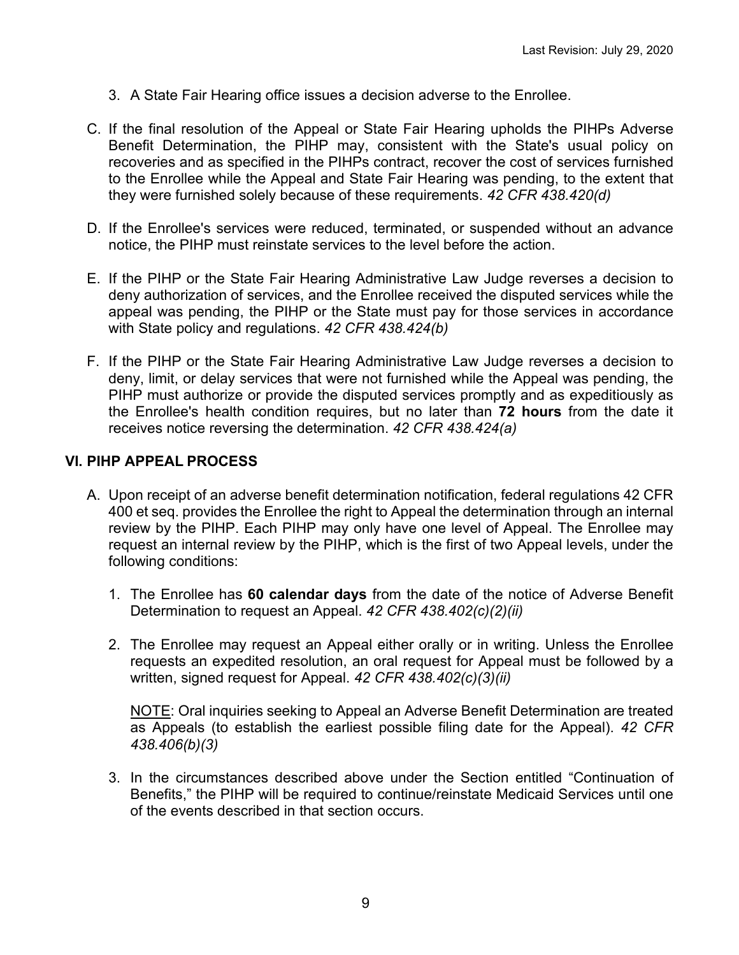- 3. A State Fair Hearing office issues a decision adverse to the [Enrollee.](https://www.law.cornell.edu/definitions/index.php?width=840&height=800&iframe=true&def_id=05539ddefc2d256d3e81e2d4e6e7c852&term_occur=9&term_src=Title:42:Chapter:IV:Subchapter:C:Part:438:Subpart:F:438.420)
- C. If the final resolution of the [Appeal](https://www.law.cornell.edu/definitions/index.php?width=840&height=800&iframe=true&def_id=7bc2fd55f34646d2019b9fd8fad3703c&term_occur=7&term_src=Title:42:Chapter:IV:Subchapter:C:Part:438:Subpart:F:438.420) or [State Fair Hearing](https://www.law.cornell.edu/definitions/index.php?width=840&height=800&iframe=true&def_id=00d98f9e39c6bc2b1389fcc385bfaeca&term_occur=6&term_src=Title:42:Chapter:IV:Subchapter:C:Part:438:Subpart:F:438.420) upholds the [PIHPs](https://www.law.cornell.edu/definitions/index.php?width=840&height=800&iframe=true&def_id=04b13365cdf0c37f21582e1c74c6bf02&term_occur=7&term_src=Title:42:Chapter:IV:Subchapter:C:Part:438:Subpart:F:438.420) Adverse Benefit Determination, the [PIHP](https://www.law.cornell.edu/definitions/index.php?width=840&height=800&iframe=true&def_id=04b13365cdf0c37f21582e1c74c6bf02&term_occur=8&term_src=Title:42:Chapter:IV:Subchapter:C:Part:438:Subpart:F:438.420) may, consistent with the [St](https://www.law.cornell.edu/definitions/index.php?width=840&height=800&iframe=true&def_id=ca92247e53beeed90570e93dd9ef3baa&term_occur=1&term_src=Title:42:Chapter:IV:Subchapter:C:Part:438:Subpart:F:438.420)ate's usual policy on recoveries and as specified in the [PIHPs](https://www.law.cornell.edu/definitions/index.php?width=840&height=800&iframe=true&def_id=04b13365cdf0c37f21582e1c74c6bf02&term_occur=9&term_src=Title:42:Chapter:IV:Subchapter:C:Part:438:Subpart:F:438.420) contract, recover the cost of services furnished to the [Enrollee](https://www.law.cornell.edu/definitions/index.php?width=840&height=800&iframe=true&def_id=05539ddefc2d256d3e81e2d4e6e7c852&term_occur=11&term_src=Title:42:Chapter:IV:Subchapter:C:Part:438:Subpart:F:438.420) while the [Appeal](https://www.law.cornell.edu/definitions/index.php?width=840&height=800&iframe=true&def_id=7bc2fd55f34646d2019b9fd8fad3703c&term_occur=8&term_src=Title:42:Chapter:IV:Subchapter:C:Part:438:Subpart:F:438.420) and [State Fair Hearing](https://www.law.cornell.edu/definitions/index.php?width=840&height=800&iframe=true&def_id=00d98f9e39c6bc2b1389fcc385bfaeca&term_occur=7&term_src=Title:42:Chapter:IV:Subchapter:C:Part:438:Subpart:F:438.420) was pending, to the extent that they were furnished solely because of these requirements. *42 CFR 438.420(d)*
- D. If the Enrollee's services were reduced, terminated, or suspended without an advance notice, the PIHP must reinstate services to the level before the action.
- E. If the PIHP or the State Fair Hearing Administrative Law Judge reverses a decision to deny authorization of services, and the Enrollee received the disputed services while the appeal was pending, the PIHP or the State must pay for those services in accordance with State policy and regulations. *42 CFR 438.424(b)*
- F. If the PIHP or the State Fair Hearing Administrative Law Judge reverses a decision to deny, limit, or delay services that were not furnished while the Appeal was pending, the PIHP must authorize or provide the disputed services promptly and as expeditiously as the Enrollee's health condition requires, but no later than **72 hours** from the date it receives notice reversing the determination. *42 CFR 438.424(a)*

## **VI. PIHP APPEAL PROCESS**

- A. Upon receipt of an adverse benefit determination notification, federal regulations 42 CFR 400 et seq. provides the Enrollee the right to Appeal the determination through an internal review by the PIHP. Each PIHP may only have one level of Appeal. The Enrollee may request an internal review by the PIHP, which is the first of two Appeal levels, under the following conditions:
	- 1. The Enrollee has **60 calendar days** from the date of the notice of Adverse Benefit Determination to request an Appeal. *42 CFR 438.402(c)(2)(ii)*
	- 2. The Enrollee may request an Appeal either orally or in writing. Unless the Enrollee requests an expedited resolution, an oral request for Appeal must be followed by a written, signed request for Appeal. *42 CFR 438.402(c)(3)(ii)*

NOTE: Oral inquiries seeking to Appeal an Adverse Benefit Determination are treated as Appeals (to establish the earliest possible filing date for the Appeal). *42 CFR 438.406(b)(3)*

3. In the circumstances described above under the Section entitled "Continuation of Benefits," the PIHP will be required to continue/reinstate Medicaid Services until one of the events described in that section occurs.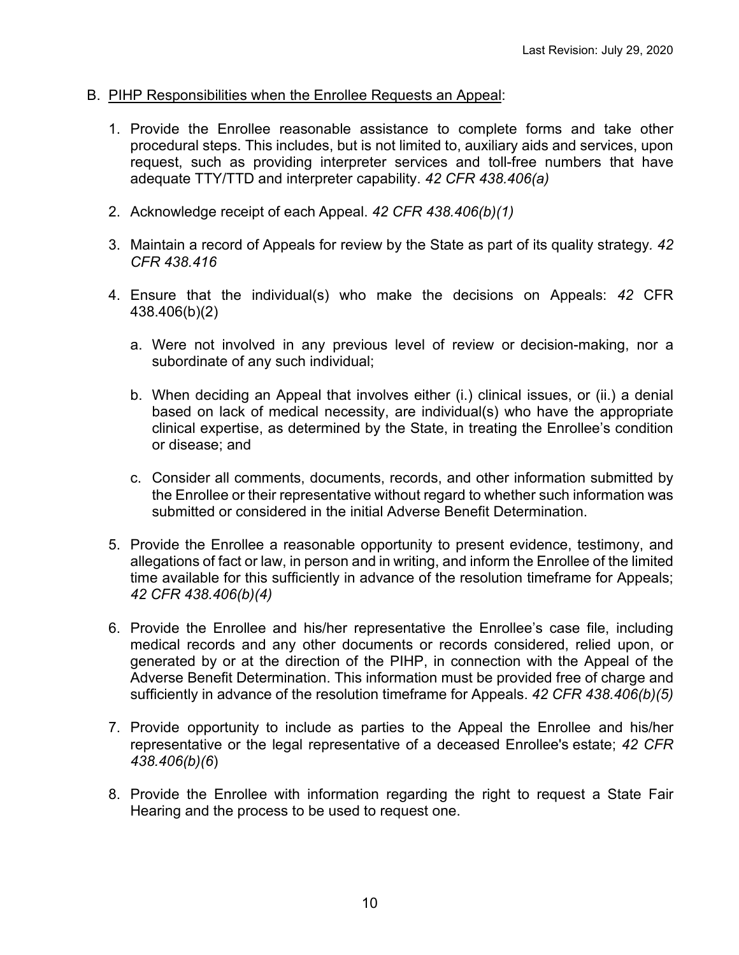- B. PIHP Responsibilities when the Enrollee Requests an Appeal:
	- 1. Provide the Enrollee reasonable assistance to complete forms and take other procedural steps. This includes, but is not limited to, auxiliary aids and services, upon request, such as providing interpreter services and toll-free numbers that have adequate TTY/TTD and interpreter capability. *42 CFR 438.406(a)*
	- 2. Acknowledge receipt of each Appeal. *42 CFR 438.406(b)(1)*
	- 3. Maintain a record of Appeals for review by the State as part of its quality strategy*. 42 CFR 438.416*
	- 4. Ensure that the individual(s) who make the decisions on Appeals: *42* CFR 438.406(b)(2)
		- a. Were not involved in any previous level of review or decision-making, nor a subordinate of any such individual;
		- b. When deciding an Appeal that involves either (i.) clinical issues, or (ii.) a denial based on lack of medical necessity, are individual(s) who have the appropriate clinical expertise, as determined by the State, in treating the Enrollee's condition or disease; and
		- c. Consider all comments, documents, records, and other information submitted by the Enrollee or their representative without regard to whether such information was submitted or considered in the initial Adverse Benefit Determination.
	- 5. Provide the Enrollee a reasonable opportunity to present evidence, testimony, and allegations of fact or law, in person and in writing, and inform the Enrollee of the limited time available for this sufficiently in advance of the resolution timeframe for Appeals; *42 CFR 438.406(b)(4)*
	- 6. Provide the Enrollee and his/her representative the Enrollee's case file, including medical records and any other documents or records considered, relied upon, or generated by or at the direction of the PIHP, in connection with the Appeal of the Adverse Benefit Determination. This information must be provided free of charge and sufficiently in advance of the resolution timeframe for Appeals. *42 CFR 438.406(b)(5)*
	- 7. Provide opportunity to include as parties to the Appeal the Enrollee and his/her representative or the legal representative of a deceased Enrollee's estate; *42 CFR 438.406(b)(6*)
	- 8. Provide the Enrollee with information regarding the right to request a State Fair Hearing and the process to be used to request one.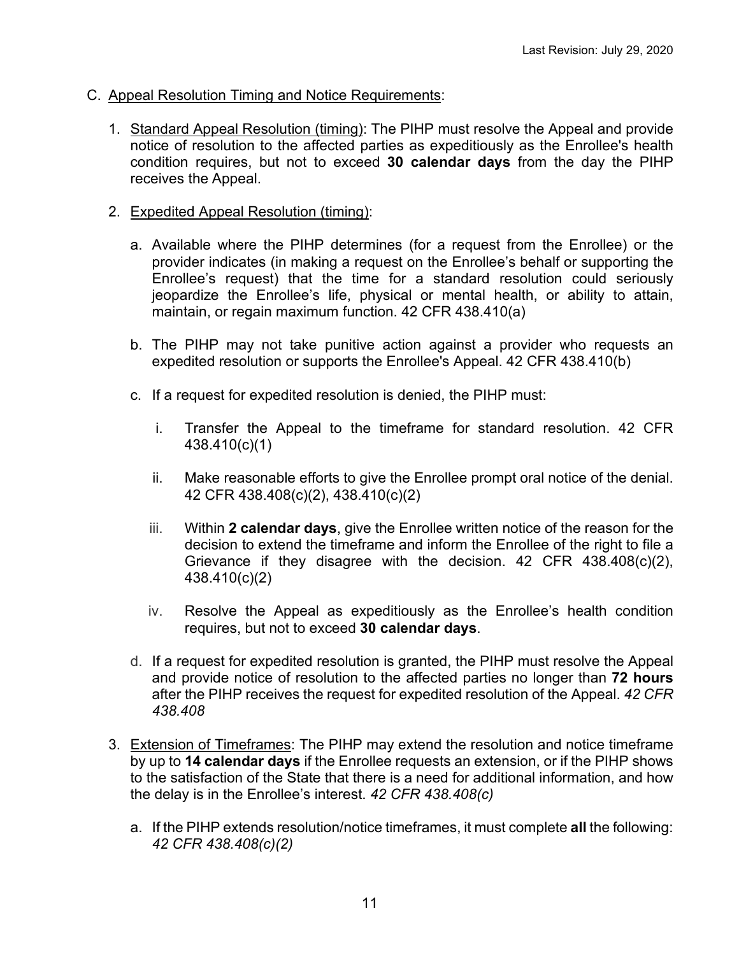- C. Appeal Resolution Timing and Notice Requirements:
	- 1. Standard Appeal Resolution (timing): The PIHP must resolve the Appeal and provide notice of resolution to the affected parties as expeditiously as the Enrollee's health condition requires, but not to exceed **30 calendar days** from the day the PIHP receives the Appeal.
	- 2. Expedited Appeal Resolution (timing):
		- a. Available where the PIHP determines (for a request from the Enrollee) or the provider indicates (in making a request on the Enrollee's behalf or supporting the Enrollee's request) that the time for a standard resolution could seriously jeopardize the Enrollee's life, physical or mental health, or ability to attain, maintain, or regain maximum function. 42 CFR 438.410(a)
		- b. The [PIHP](https://www.law.cornell.edu/definitions/index.php?width=840&height=800&iframe=true&def_id=04b13365cdf0c37f21582e1c74c6bf02&term_occur=3&term_src=Title:42:Chapter:IV:Subchapter:C:Part:438:Subpart:F:438.410) may not take punitive action against a [provider](https://www.law.cornell.edu/definitions/index.php?width=840&height=800&iframe=true&def_id=1a0ce7d7a3bfcb5dc5fe14032dc4305c&term_occur=2&term_src=Title:42:Chapter:IV:Subchapter:C:Part:438:Subpart:F:438.410) who requests an expedited resolution or supports the [Enrollee'](https://www.law.cornell.edu/definitions/index.php?width=840&height=800&iframe=true&def_id=05539ddefc2d256d3e81e2d4e6e7c852&term_occur=4&term_src=Title:42:Chapter:IV:Subchapter:C:Part:438:Subpart:F:438.410)s Appeal. 42 CFR 438.410(b)
		- c. If a request for expedited resolution is denied, the PIHP must:
			- i. [Transfer](https://www.law.cornell.edu/definitions/index.php?width=840&height=800&iframe=true&def_id=98f2d9c1e461596dd61babfb6c4ca4bf&term_occur=1&term_src=Title:42:Chapter:IV:Subchapter:C:Part:438:Subpart:F:438.410) the [Ap](https://www.law.cornell.edu/definitions/index.php?width=840&height=800&iframe=true&def_id=7bc2fd55f34646d2019b9fd8fad3703c&term_occur=3&term_src=Title:42:Chapter:IV:Subchapter:C:Part:438:Subpart:F:438.410)peal to the timeframe for standard resolution. 42 CFR 438.410(c)(1)
			- ii. Make reasonable efforts to give the Enrollee prompt oral notice of the denial. 42 CFR [438.408\(c\)\(2\), 438.410\(c\)\(2\)](https://www.law.cornell.edu/cfr/text/42/438.408#c_2)
			- iii. Within **2 calendar days**, give the Enrollee written notice of the reason for the decision to extend the timeframe and inform the Enrollee of the right to file a Grievance if they disagree with the decision. 42 CFR [438.408\(c\)\(2\),](https://www.law.cornell.edu/cfr/text/42/438.408#c_2)  [438.410\(c\)\(2\)](https://www.law.cornell.edu/cfr/text/42/438.408#c_2)
			- iv. Resolve the Appeal as expeditiously as the Enrollee's health condition requires, but not to exceed **30 calendar days**.
		- d. If a request for expedited resolution is granted, the PIHP must resolve the Appeal and provide notice of resolution to the affected parties no longer than **72 hours** after the PIHP receives the request for expedited resolution of the Appeal. *42 CFR 438.408*
	- 3. Extension of Timeframes: The PIHP may extend the resolution and notice timeframe by up to **14 calendar days** if the Enrollee requests an extension, or if the PIHP shows to the satisfaction of the State that there is a need for additional information, and how the delay is in the Enrollee's interest. *42 CFR 438.408(c)*
		- a. If the PIHP extends resolution/notice timeframes, it must complete **all** the following: *42 CFR 438.408(c)(2)*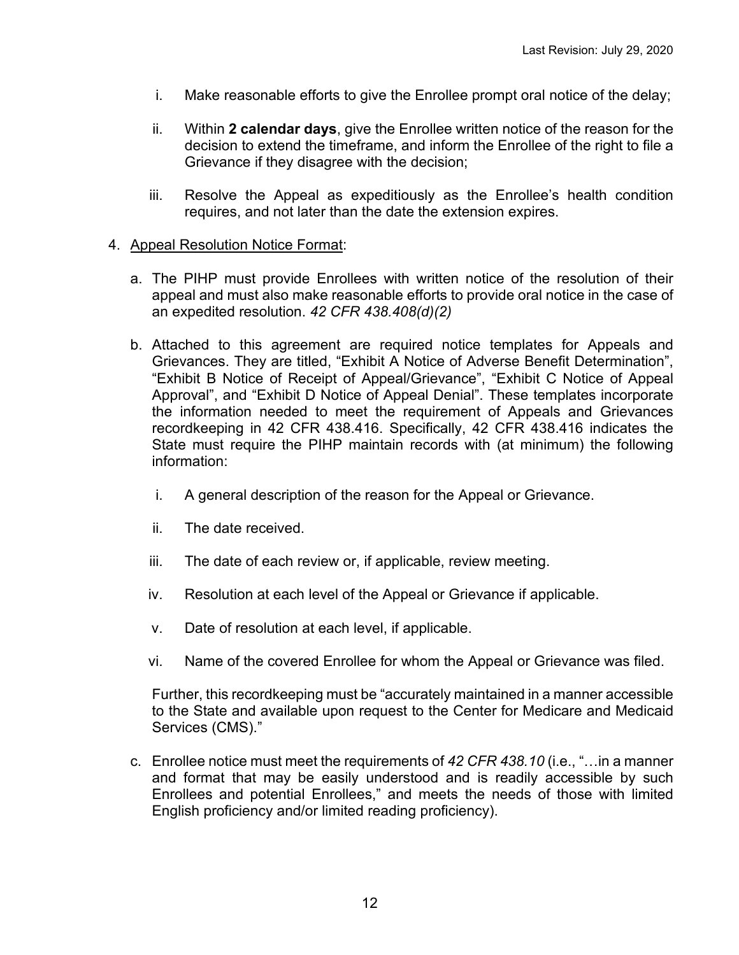- i. Make reasonable efforts to give the Enrollee prompt oral notice of the delay;
- ii. Within **2 calendar days**, give the Enrollee written notice of the reason for the decision to extend the timeframe, and inform the Enrollee of the right to file a Grievance if they disagree with the decision;
- iii. Resolve the Appeal as expeditiously as the Enrollee's health condition requires, and not later than the date the extension expires.

#### 4. Appeal Resolution Notice Format:

- a. The PIHP must provide Enrollees with written notice of the resolution of their appeal and must also make reasonable efforts to provide oral notice in the case of an expedited resolution. *42 CFR 438.408(d)(2)*
- b. Attached to this agreement are required notice templates for Appeals and Grievances. They are titled, "Exhibit A Notice of Adverse Benefit Determination", "Exhibit B Notice of Receipt of Appeal/Grievance", "Exhibit C Notice of Appeal Approval", and "Exhibit D Notice of Appeal Denial". These templates incorporate the information needed to meet the requirement of Appeals and Grievances recordkeeping in 42 CFR 438.416. Specifically, 42 CFR 438.416 indicates the State must require the PIHP maintain records with (at minimum) the following information:
	- i. A general description of the reason for the Appeal or Grievance.
	- ii. The date received.
	- iii. The date of each review or, if applicable, review meeting.
	- iv. Resolution at each level of the Appeal or Grievance if applicable.
	- v. Date of resolution at each level, if applicable.
	- vi. Name of the covered Enrollee for whom the Appeal or Grievance was filed.

Further, this recordkeeping must be "accurately maintained in a manner accessible to the State and available upon request to the Center for Medicare and Medicaid Services (CMS)."

c. Enrollee notice must meet the requirements of *42 CFR 438.10* (i.e., "…in a manner and format that may be easily understood and is [readily accessible](https://www.law.cornell.edu/definitions/index.php?width=840&height=800&iframe=true&def_id=1eaade7c559b87a22cb8e9f60d78165a&term_occur=1&term_src=Title:42:Chapter:IV:Subchapter:C:Part:438:Subpart:A:438.10) by such Enrollees and [potential Enrollees,](https://www.law.cornell.edu/definitions/index.php?width=840&height=800&iframe=true&def_id=fa40dc6b10a33ea7e048b595be894a56&term_occur=4&term_src=Title:42:Chapter:IV:Subchapter:C:Part:438:Subpart:A:438.10)" and meets the needs of those with limited English proficiency and/or limited reading proficiency).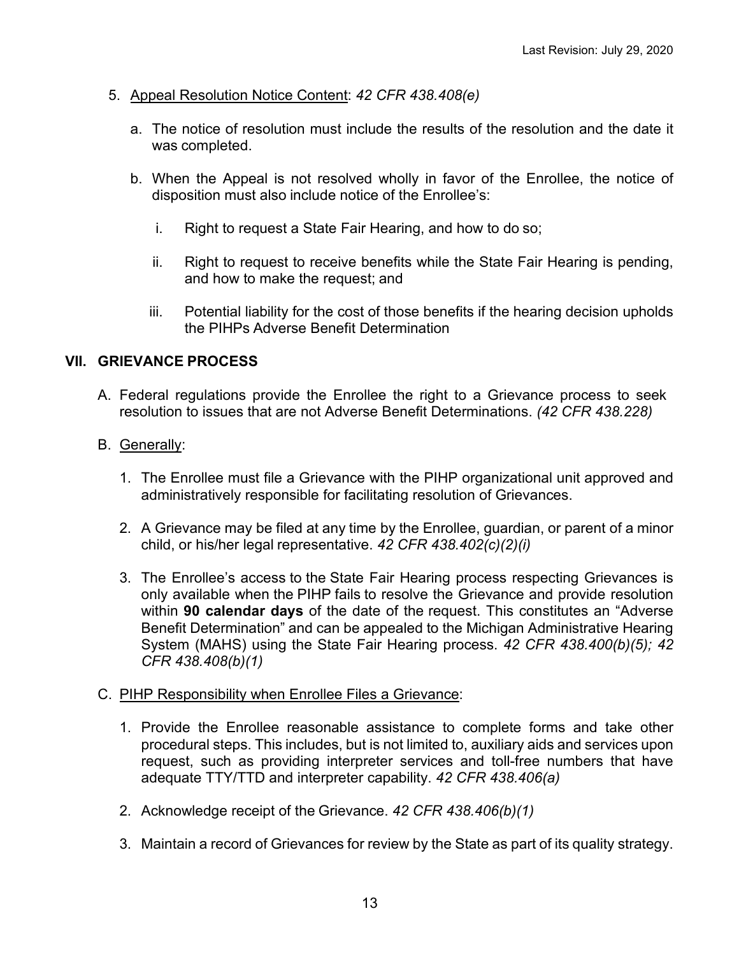- 5. Appeal Resolution Notice Content: *42 CFR 438.408(e)*
	- a. The notice of resolution must include the results of the resolution and the date it was completed.
	- b. When the Appeal is not resolved wholly in favor of the Enrollee, the notice of disposition must also include notice of the Enrollee's:
		- i. Right to request a State Fair Hearing, and how to do so;
		- ii. Right to request to receive benefits while the State Fair Hearing is pending, and how to make the request; and
		- iii. Potential liability for the cost of those benefits if the hearing decision upholds the PIHPs Adverse Benefit Determination

## **VII. GRIEVANCE PROCESS**

A. Federal regulations provide the Enrollee the right to a Grievance process to seek resolution to issues that are not Adverse Benefit Determinations. *(42 CFR 438.228)*

## B. Generally:

- 1. The Enrollee must file a Grievance with the PIHP organizational unit approved and administratively responsible for facilitating resolution of Grievances.
- 2. A Grievance may be filed at any time by the Enrollee, guardian, or parent of a minor child, or his/her legal representative. *42 CFR 438.402(c)(2)(i)*
- 3. The Enrollee's access to the State Fair Hearing process respecting Grievances is only available when the PIHP fails to resolve the Grievance and provide resolution within **90 calendar days** of the date of the request. This constitutes an "Adverse Benefit Determination" and can be appealed to the Michigan Administrative Hearing System (MAHS) using the State Fair Hearing process. *42 CFR 438.400(b)(5); 42 CFR 438.408(b)(1)*

#### C. PIHP Responsibility when Enrollee Files a Grievance:

- 1. Provide the Enrollee reasonable assistance to complete forms and take other procedural steps. This includes, but is not limited to, auxiliary aids and services upon request, such as providing interpreter services and toll-free numbers that have adequate TTY/TTD and interpreter capability. *42 CFR 438.406(a)*
- 2. Acknowledge receipt of the Grievance. *42 CFR 438.406(b)(1)*
- 3. Maintain a record of Grievances for review by the State as part of its quality strategy.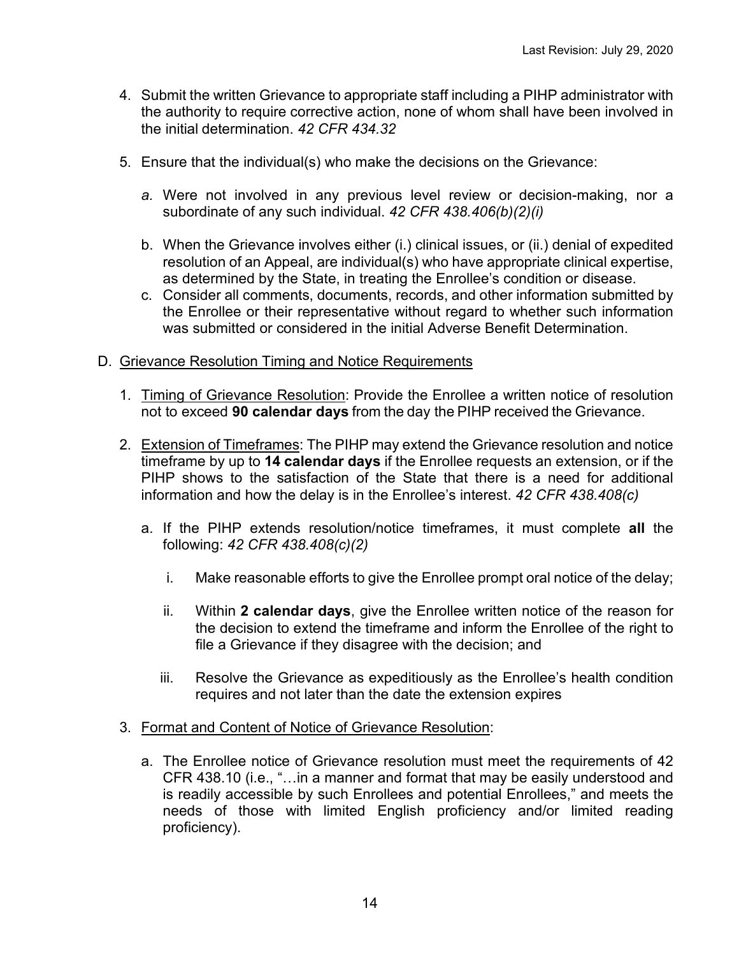- 4. Submit the written Grievance to appropriate staff including a PIHP administrator with the authority to require corrective action, none of whom shall have been involved in the initial determination. *42 CFR 434.32*
- 5. Ensure that the individual(s) who make the decisions on the Grievance:
	- *a.* Were not involved in any previous level review or decision-making, nor a subordinate of any such individual. *42 CFR 438.406(b)(2)(i)*
	- b. When the Grievance involves either (i.) clinical issues, or (ii.) denial of expedited resolution of an Appeal, are individual(s) who have appropriate clinical expertise, as determined by the State, in treating the Enrollee's condition or disease.
	- c. Consider all comments, documents, records, and other information submitted by the Enrollee or their representative without regard to whether such information was submitted or considered in the initial Adverse Benefit Determination.
- D. Grievance Resolution Timing and Notice Requirements
	- 1. Timing of Grievance Resolution: Provide the Enrollee a written notice of resolution not to exceed **90 calendar days** from the day the PIHP received the Grievance.
	- 2. Extension of Timeframes: The PIHP may extend the Grievance resolution and notice timeframe by up to **14 calendar days** if the Enrollee requests an extension, or if the PIHP shows to the satisfaction of the State that there is a need for additional information and how the delay is in the Enrollee's interest. *42 CFR 438.408(c)*
		- a. If the PIHP extends resolution/notice timeframes, it must complete **all** the following: *42 CFR 438.408(c)(2)*
			- i. Make reasonable efforts to give the Enrollee prompt oral notice of the delay;
			- ii. Within **2 calendar days**, give the Enrollee written notice of the reason for the decision to extend the timeframe and inform the Enrollee of the right to file a Grievance if they disagree with the decision; and
			- iii. Resolve the Grievance as expeditiously as the Enrollee's health condition requires and not later than the date the extension expires
	- 3. Format and Content of Notice of Grievance Resolution:
		- a. The Enrollee notice of Grievance resolution must meet the requirements of 42 CFR 438.10 (i.e., "…in a manner and format that may be easily understood and is readily accessible by such Enrollees and [potential Enrollees,](https://www.law.cornell.edu/definitions/index.php?width=840&height=800&iframe=true&def_id=fa40dc6b10a33ea7e048b595be894a56&term_occur=4&term_src=Title:42:Chapter:IV:Subchapter:C:Part:438:Subpart:A:438.10)" and meets the needs of those with limited English proficiency and/or limited reading proficiency).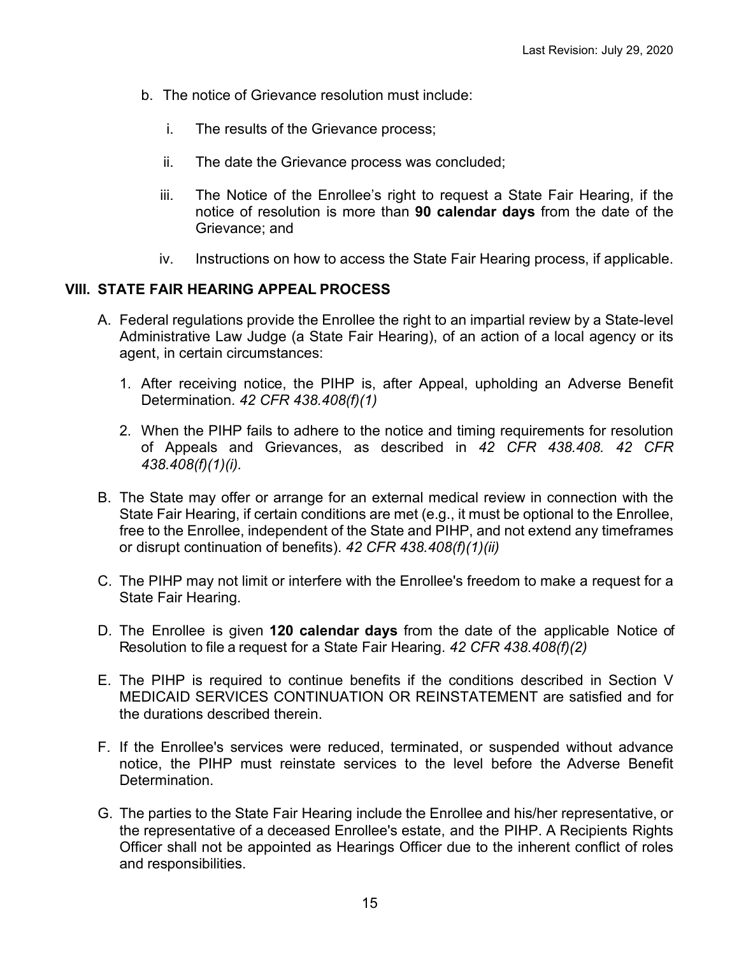- b. The notice of Grievance resolution must include:
	- i. The results of the Grievance process;
	- ii. The date the Grievance process was concluded;
	- iii. The Notice of the Enrollee's right to request a State Fair Hearing, if the notice of resolution is more than **90 calendar days** from the date of the Grievance; and
	- iv. Instructions on how to access the State Fair Hearing process, if applicable.

## **VIII. STATE FAIR HEARING APPEAL PROCESS**

- A. Federal regulations provide the Enrollee the right to an impartial review by a State-level Administrative Law Judge (a State Fair Hearing), of an action of a local agency or its agent, in certain circumstances:
	- 1. After receiving notice, the PIHP is, after Appeal, upholding an Adverse Benefit Determination. *42 CFR 438.408(f)(1)*
	- 2. When the PIHP fails to adhere to the notice and timing requirements for resolution of Appeals and Grievances, as described in *42 CFR 438.408. 42 CFR 438.408(f)(1)(i).*
- B. The State may offer or arrange for an external medical review in connection with the State Fair Hearing, if certain conditions are met (e.g., it must be optional to the Enrollee, free to the Enrollee, independent of the State and PIHP, and not extend any timeframes or disrupt continuation of benefits). *42 CFR 438.408(f)(1)(ii)*
- C. The PIHP may not limit or interfere with the Enrollee's freedom to make a request for a State Fair Hearing.
- D. The Enrollee is given **120 calendar days** from the date of the applicable Notice of Resolution to file a request for a State Fair Hearing. *42 CFR 438.408(f)(2)*
- E. The PIHP is required to continue benefits if the conditions described in Section V MEDICAID SERVICES CONTINUATION OR REINSTATEMENT are satisfied and for the durations described therein.
- F. If the Enrollee's services were reduced, terminated, or suspended without advance notice, the PIHP must reinstate services to the level before the Adverse Benefit **Determination**
- G. The parties to the State Fair Hearing include the Enrollee and his/her representative, or the representative of a deceased Enrollee's estate, and the PIHP. A Recipients Rights Officer shall not be appointed as Hearings Officer due to the inherent conflict of roles and responsibilities.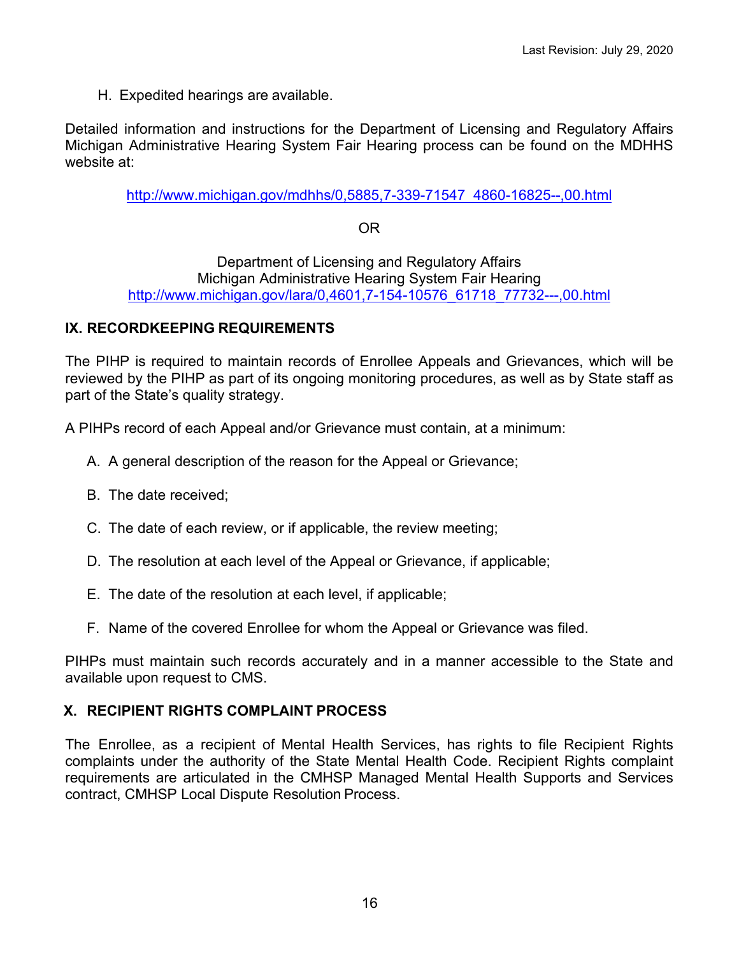H. Expedited hearings are available.

Detailed information and instructions for the Department of Licensing and Regulatory Affairs Michigan Administrative Hearing System Fair Hearing process can be found on the MDHHS website at:

[http://www.michigan.gov/mdhhs/0,5885,7-339-71547\\_4860-16825--,00.html](http://www.michigan.gov/mdhhs/0,5885,7-339-71547_4860-16825--,00.html)

# OR

Department of Licensing and Regulatory Affairs Michigan Administrative Hearing System Fair Hearing [http://www.michigan.gov/lara/0,4601,7-154-10576\\_61718\\_77732---,00.html](http://www.michigan.gov/lara/0,4601,7-154-10576_61718_77732---,00.html)

## **IX. RECORDKEEPING REQUIREMENTS**

The PIHP is required to maintain records of Enrollee Appeals and Grievances, which will be reviewed by the PIHP as part of its ongoing monitoring procedures, as well as by State staff as part of the State's quality strategy.

A PIHPs record of each Appeal and/or Grievance must contain, at a minimum:

- A. A general description of the reason for the Appeal or Grievance;
- B. The date received;
- C. The date of each review, or if applicable, the review meeting;
- D. The resolution at each level of the Appeal or Grievance, if applicable;
- E. The date of the resolution at each level, if applicable;
- F. Name of the covered Enrollee for whom the Appeal or Grievance was filed.

PIHPs must maintain such records accurately and in a manner accessible to the State and available upon request to CMS.

## **X. RECIPIENT RIGHTS COMPLAINT PROCESS**

The Enrollee, as a recipient of Mental Health Services, has rights to file Recipient Rights complaints under the authority of the State Mental Health Code. Recipient Rights complaint requirements are articulated in the CMHSP Managed Mental Health Supports and Services contract, CMHSP Local Dispute Resolution Process.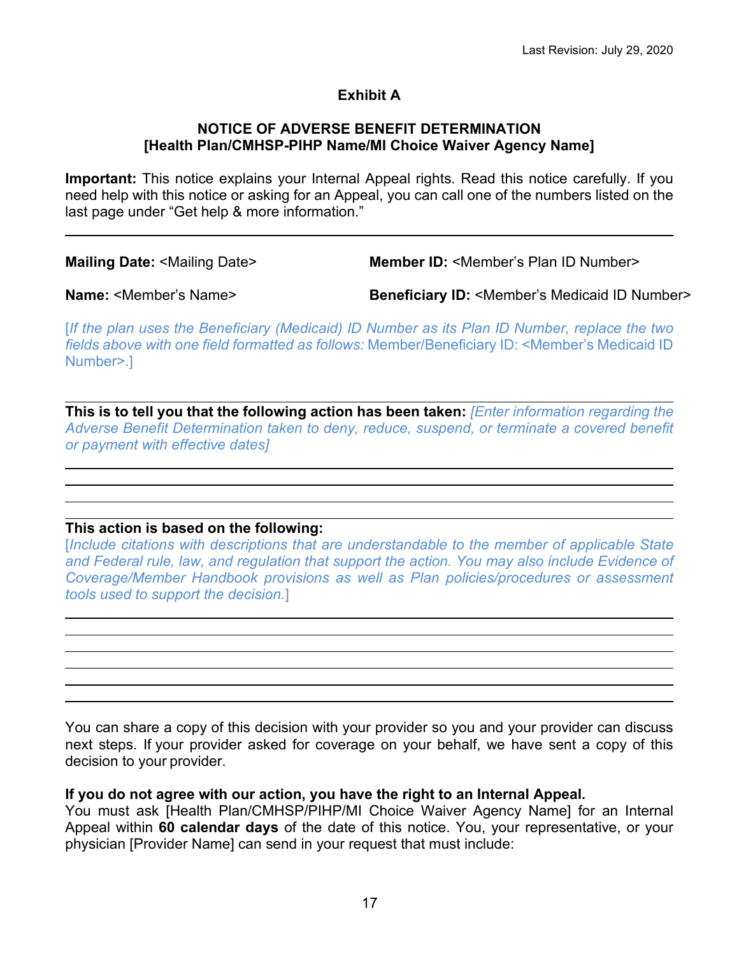# **Exhibit A**

#### **NOTICE OF ADVERSE BENEFIT DETERMINATION [Health Plan/CMHSP-PIHP Name/MI Choice Waiver Agency Name]**

**Important:** This notice explains your Internal Appeal rights. Read this notice carefully. If you need help with this notice or asking for an Appeal, you can call one of the numbers listed on the last page under "Get help & more information."

**Mailing Date:** <Mailing Date> **Member ID:** <Member's Plan ID Number>

**Name:** <Member's Name> **Beneficiary ID:** <Member's Medicaid ID Number>

[*If the plan uses the Beneficiary (Medicaid) ID Number as its Plan ID Number, replace the two fields above with one field formatted as follows:* Member/Beneficiary ID: <Member's Medicaid ID Number>.]

**This is to tell you that the following action has been taken:** *[Enter information regarding the Adverse Benefit Determination taken to deny, reduce, suspend, or terminate a covered benefit or payment with effective dates]*

## **This action is based on the following:**

[*Include citations with descriptions that are understandable to the member of applicable State and Federal rule, law, and regulation that support the action. You may also include Evidence of Coverage/Member Handbook provisions as well as Plan policies/procedures or assessment tools used to support the decision.*]

You can share a copy of this decision with your provider so you and your provider can discuss next steps. If your provider asked for coverage on your behalf, we have sent a copy of this decision to your provider.

## **If you do not agree with our action, you have the right to an Internal Appeal.**

You must ask [Health Plan/CMHSP/PIHP/MI Choice Waiver Agency Name] for an Internal Appeal within **60 calendar days** of the date of this notice. You, your representative, or your physician [Provider Name] can send in your request that must include: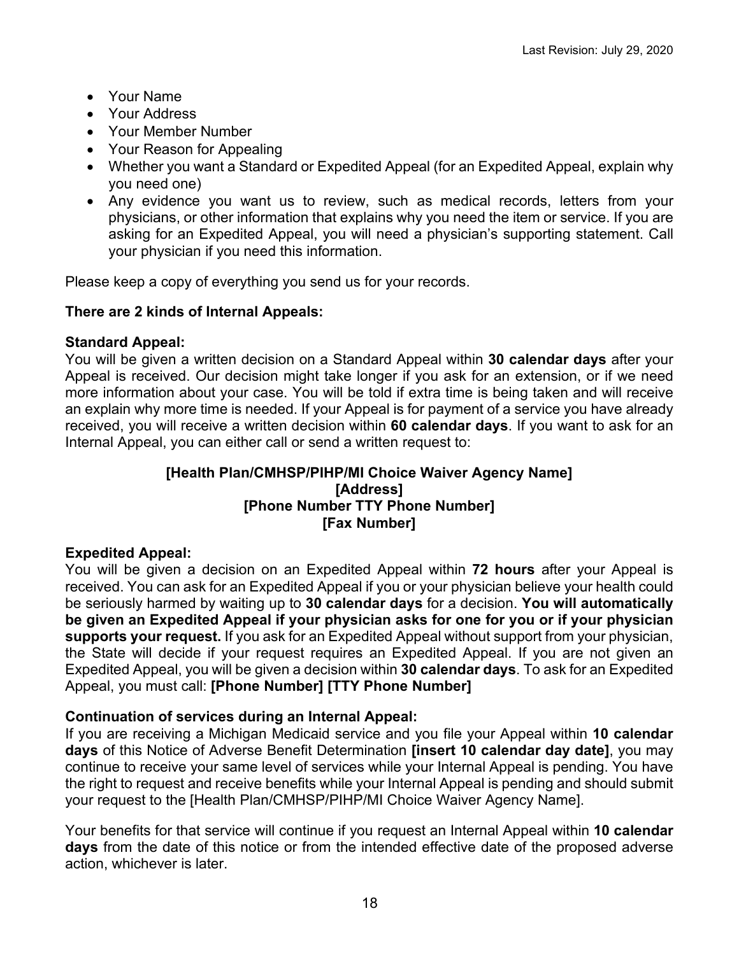- Your Name
- Your Address
- Your Member Number
- Your Reason for Appealing
- Whether you want a Standard or Expedited Appeal (for an Expedited Appeal, explain why you need one)
- Any evidence you want us to review, such as medical records, letters from your physicians, or other information that explains why you need the item or service. If you are asking for an Expedited Appeal, you will need a physician's supporting statement. Call your physician if you need this information.

Please keep a copy of everything you send us for your records.

## **There are 2 kinds of Internal Appeals:**

## **Standard Appeal:**

You will be given a written decision on a Standard Appeal within **30 calendar days** after your Appeal is received. Our decision might take longer if you ask for an extension, or if we need more information about your case. You will be told if extra time is being taken and will receive an explain why more time is needed. If your Appeal is for payment of a service you have already received, you will receive a written decision within **60 calendar days**. If you want to ask for an Internal Appeal, you can either call or send a written request to:

## **[Health Plan/CMHSP/PIHP/MI Choice Waiver Agency Name] [Address] [Phone Number TTY Phone Number] [Fax Number]**

# **Expedited Appeal:**

You will be given a decision on an Expedited Appeal within **72 hours** after your Appeal is received. You can ask for an Expedited Appeal if you or your physician believe your health could be seriously harmed by waiting up to **30 calendar days** for a decision. **You will automatically be given an Expedited Appeal if your physician asks for one for you or if your physician supports your request.** If you ask for an Expedited Appeal without support from your physician, the State will decide if your request requires an Expedited Appeal. If you are not given an Expedited Appeal, you will be given a decision within **30 calendar days**. To ask for an Expedited Appeal, you must call: **[Phone Number] [TTY Phone Number]**

## **Continuation of services during an Internal Appeal:**

If you are receiving a Michigan Medicaid service and you file your Appeal within **10 calendar days** of this Notice of Adverse Benefit Determination **[insert 10 calendar day date]**, you may continue to receive your same level of services while your Internal Appeal is pending. You have the right to request and receive benefits while your Internal Appeal is pending and should submit your request to the [Health Plan/CMHSP/PIHP/MI Choice Waiver Agency Name].

Your benefits for that service will continue if you request an Internal Appeal within **10 calendar days** from the date of this notice or from the intended effective date of the proposed adverse action, whichever is later.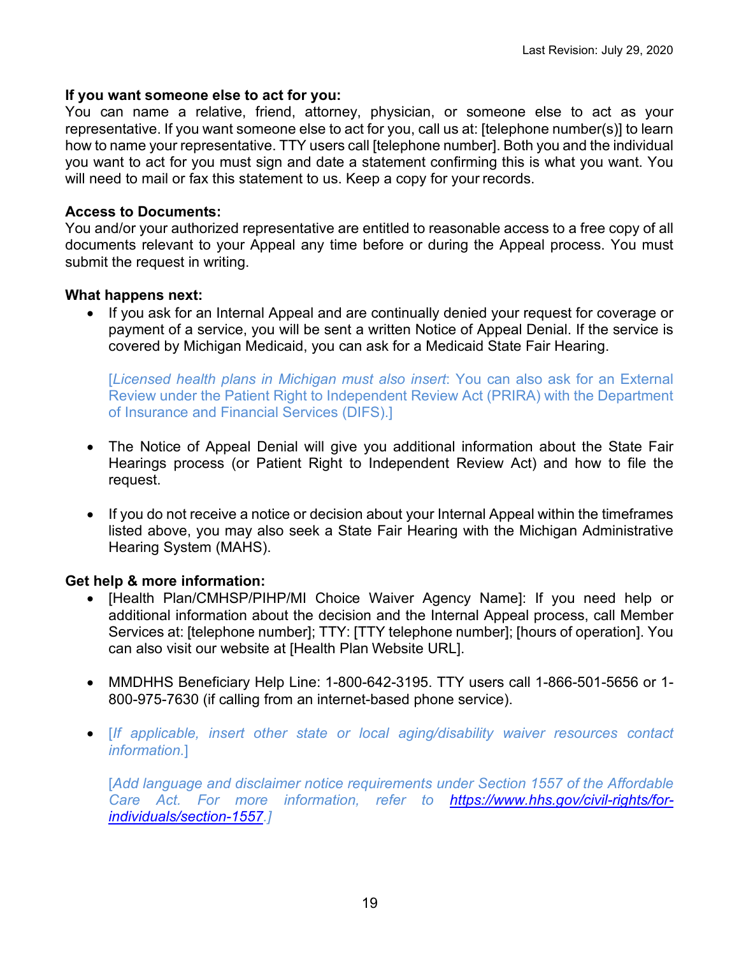#### **If you want someone else to act for you:**

You can name a relative, friend, attorney, physician, or someone else to act as your representative. If you want someone else to act for you, call us at: [telephone number(s)] to learn how to name your representative. TTY users call [telephone number]. Both you and the individual you want to act for you must sign and date a statement confirming this is what you want. You will need to mail or fax this statement to us. Keep a copy for your records.

### **Access to Documents:**

You and/or your authorized representative are entitled to reasonable access to a free copy of all documents relevant to your Appeal any time before or during the Appeal process. You must submit the request in writing.

## **What happens next:**

• If you ask for an Internal Appeal and are continually denied your request for coverage or payment of a service, you will be sent a written Notice of Appeal Denial. If the service is covered by Michigan Medicaid, you can ask for a Medicaid State Fair Hearing.

[*Licensed health plans in Michigan must also insert*: You can also ask for an External Review under the Patient Right to Independent Review Act (PRIRA) with the Department of Insurance and Financial Services (DIFS).]

- The Notice of Appeal Denial will give you additional information about the State Fair Hearings process (or Patient Right to Independent Review Act) and how to file the request.
- If you do not receive a notice or decision about your Internal Appeal within the timeframes listed above, you may also seek a State Fair Hearing with the Michigan Administrative Hearing System (MAHS).

## **Get help & more information:**

- [Health Plan/CMHSP/PIHP/MI Choice Waiver Agency Name]: If you need help or additional information about the decision and the Internal Appeal process, call Member Services at: [telephone number]; TTY: [TTY telephone number]; [hours of operation]. You can also visit our website at [Health Plan Website URL].
- MMDHHS Beneficiary Help Line: 1-800-642-3195. TTY users call 1-866-501-5656 or 1- 800-975-7630 (if calling from an internet-based phone service).
- [*If applicable, insert other state or local aging/disability waiver resources contact information.*]

[*Add language and disclaimer notice requirements under Section 1557 of the Affordable Care Act. For more information, refer to [https://www.hhs.gov/civil-rights/for](https://www.hhs.gov/civil-rights/for-individuals/section-1557)[individuals/section-1557.](https://www.hhs.gov/civil-rights/for-individuals/section-1557)]*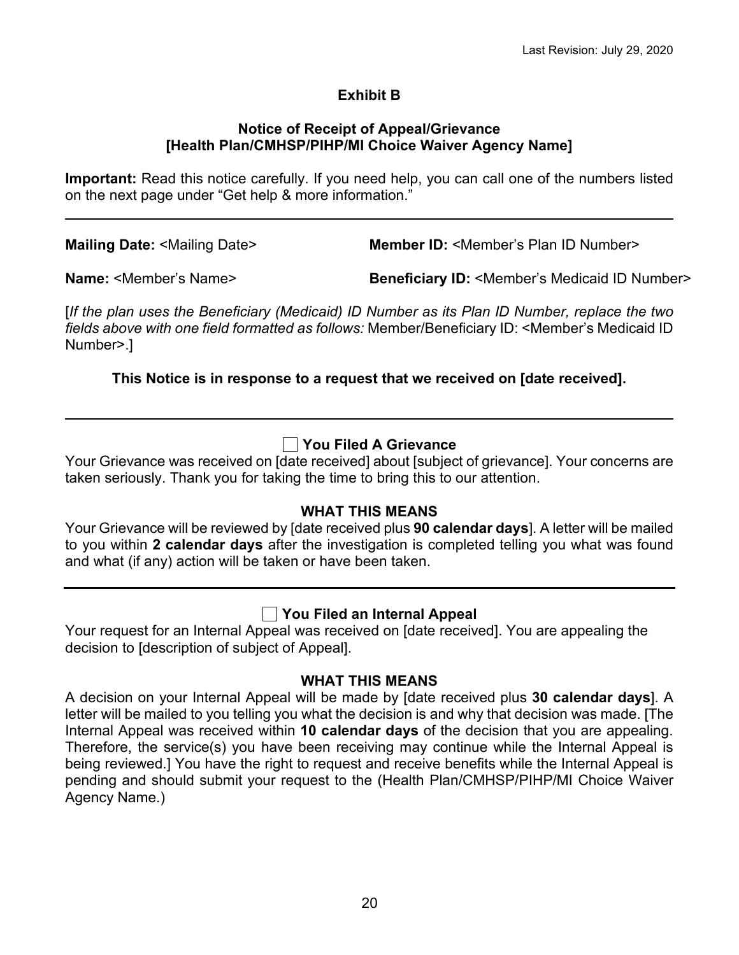# **Exhibit B**

#### **Notice of Receipt of Appeal/Grievance [Health Plan/CMHSP/PIHP/MI Choice Waiver Agency Name]**

**Important:** Read this notice carefully. If you need help, you can call one of the numbers listed on the next page under "Get help & more information."

**Mailing Date:** <Mailing Date> **Member ID:** <Member's Plan ID Number>

**Name:** <Member's Name> **Beneficiary ID:** <Member's Medicaid ID Number>

[*If the plan uses the Beneficiary (Medicaid) ID Number as its Plan ID Number, replace the two fields above with one field formatted as follows:* Member/Beneficiary ID: <Member's Medicaid ID Number>.]

# **This Notice is in response to a request that we received on [date received].**

# **You Filed A Grievance**

Your Grievance was received on [date received] about [subject of grievance]. Your concerns are taken seriously. Thank you for taking the time to bring this to our attention.

## **WHAT THIS MEANS**

Your Grievance will be reviewed by [date received plus **90 calendar days**]. A letter will be mailed to you within **2 calendar days** after the investigation is completed telling you what was found and what (if any) action will be taken or have been taken.

# **You Filed an Internal Appeal**

Your request for an Internal Appeal was received on [date received]. You are appealing the decision to [description of subject of Appeal].

## **WHAT THIS MEANS**

A decision on your Internal Appeal will be made by [date received plus **30 calendar days**]. A letter will be mailed to you telling you what the decision is and why that decision was made. [The Internal Appeal was received within **10 calendar days** of the decision that you are appealing. Therefore, the service(s) you have been receiving may continue while the Internal Appeal is being reviewed.] You have the right to request and receive benefits while the Internal Appeal is pending and should submit your request to the (Health Plan/CMHSP/PIHP/MI Choice Waiver Agency Name.)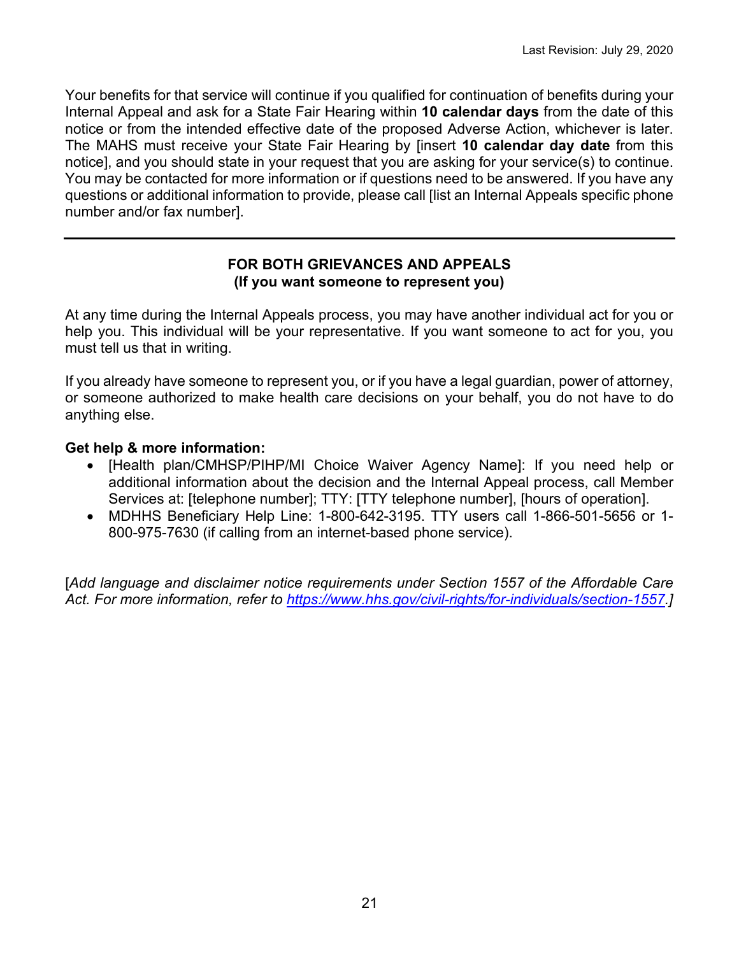Your benefits for that service will continue if you qualified for continuation of benefits during your Internal Appeal and ask for a State Fair Hearing within **10 calendar days** from the date of this notice or from the intended effective date of the proposed Adverse Action, whichever is later. The MAHS must receive your State Fair Hearing by [insert **10 calendar day date** from this notice], and you should state in your request that you are asking for your service(s) to continue. You may be contacted for more information or if questions need to be answered. If you have any questions or additional information to provide, please call [list an Internal Appeals specific phone number and/or fax number].

## **FOR BOTH GRIEVANCES AND APPEALS (If you want someone to represent you)**

At any time during the Internal Appeals process, you may have another individual act for you or help you. This individual will be your representative. If you want someone to act for you, you must tell us that in writing.

If you already have someone to represent you, or if you have a legal guardian, power of attorney, or someone authorized to make health care decisions on your behalf, you do not have to do anything else.

## **Get help & more information:**

- [Health plan/CMHSP/PIHP/MI Choice Waiver Agency Name]: If you need help or additional information about the decision and the Internal Appeal process, call Member Services at: [telephone number]; TTY: [TTY telephone number], [hours of operation].
- MDHHS Beneficiary Help Line: 1-800-642-3195. TTY users call 1-866-501-5656 or 1- 800-975-7630 (if calling from an internet-based phone service).

[*Add language and disclaimer notice requirements under Section 1557 of the Affordable Care Act. For more information, refer to [https://www.hhs.gov/civil-rights/for-individuals/section-1557.](https://www.hhs.gov/civil-rights/for-individuals/section-1557)]*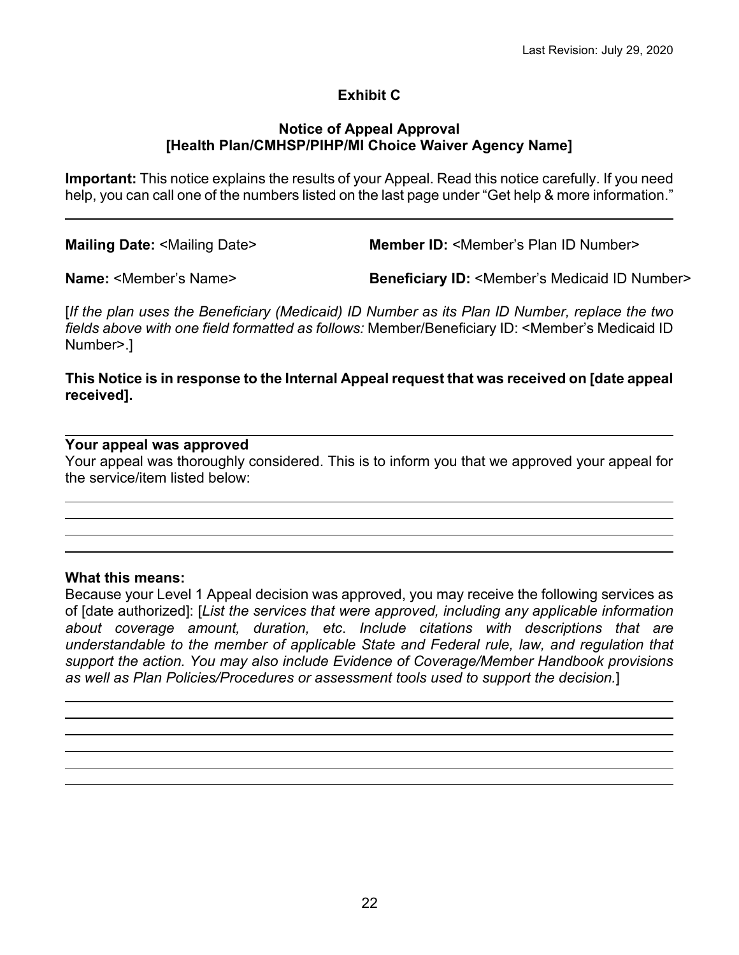# **Exhibit C**

#### **Notice of Appeal Approval [Health Plan/CMHSP/PIHP/MI Choice Waiver Agency Name]**

**Important:** This notice explains the results of your Appeal. Read this notice carefully. If you need help, you can call one of the numbers listed on the last page under "Get help & more information."

**Mailing Date:** <Mailing Date> **Member ID:** <Member's Plan ID Number>

**Name:** <Member's Name> **Beneficiary ID:** <Member's Medicaid ID Number>

[*If the plan uses the Beneficiary (Medicaid) ID Number as its Plan ID Number, replace the two fields above with one field formatted as follows:* Member/Beneficiary ID: <Member's Medicaid ID Number>.]

### **This Notice is in response to the Internal Appeal request that was received on [date appeal received].**

## **Your appeal was approved**

Your appeal was thoroughly considered. This is to inform you that we approved your appeal for the service/item listed below:

#### **What this means:**

Because your Level 1 Appeal decision was approved, you may receive the following services as of [date authorized]: [*List the services that were approved, including any applicable information about coverage amount, duration, etc*. *Include citations with descriptions that are understandable to the member of applicable State and Federal rule, law, and regulation that support the action. You may also include Evidence of Coverage/Member Handbook provisions as well as Plan Policies/Procedures or assessment tools used to support the decision.*]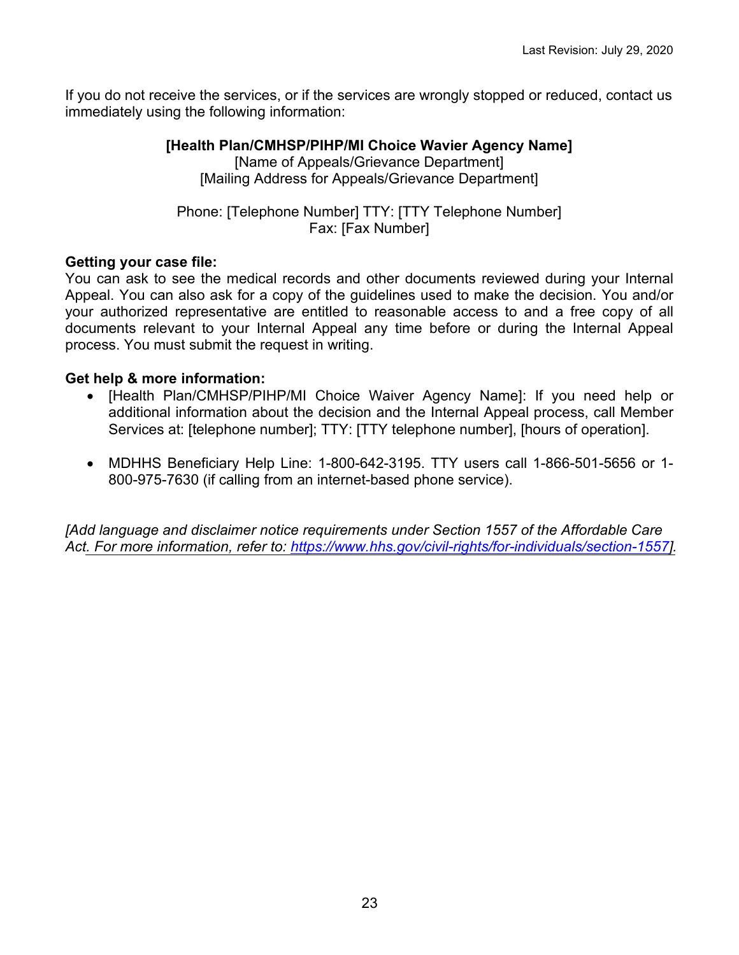If you do not receive the services, or if the services are wrongly stopped or reduced, contact us immediately using the following information:

## **[Health Plan/CMHSP/PIHP/MI Choice Wavier Agency Name]**

[Name of Appeals/Grievance Department] [Mailing Address for Appeals/Grievance Department]

Phone: [Telephone Number] TTY: [TTY Telephone Number] Fax: [Fax Number]

## **Getting your case file:**

You can ask to see the medical records and other documents reviewed during your Internal Appeal. You can also ask for a copy of the guidelines used to make the decision. You and/or your authorized representative are entitled to reasonable access to and a free copy of all documents relevant to your Internal Appeal any time before or during the Internal Appeal process. You must submit the request in writing.

## **Get help & more information:**

- [Health Plan/CMHSP/PIHP/MI Choice Waiver Agency Name]: If you need help or additional information about the decision and the Internal Appeal process, call Member Services at: [telephone number]; TTY: [TTY telephone number], [hours of operation].
- MDHHS Beneficiary Help Line: 1-800-642-3195. TTY users call 1-866-501-5656 or 1- 800-975-7630 (if calling from an internet-based phone service).

*[Add language and disclaimer notice requirements under Section 1557 of the Affordable Care Act. For more information, refer to: [https://www.hhs.gov/civil-rights/for-individuals/section-1557\]](https://www.hhs.gov/civil-rights/for-individuals/section-1557).*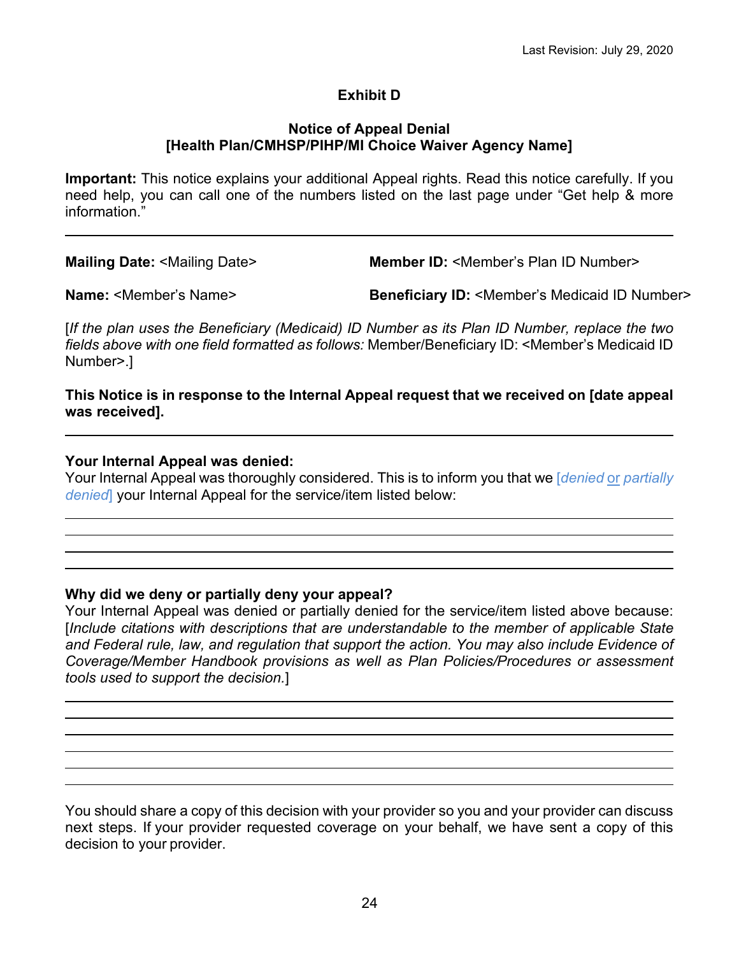# **Exhibit D**

#### **Notice of Appeal Denial [Health Plan/CMHSP/PIHP/MI Choice Waiver Agency Name]**

**Important:** This notice explains your additional Appeal rights. Read this notice carefully. If you need help, you can call one of the numbers listed on the last page under "Get help & more information."

**Mailing Date:** <Mailing Date> **Member ID:** <Member's Plan ID Number>

**Name:** <Member's Name> **Beneficiary ID:** <Member's Medicaid ID Number>

[*If the plan uses the Beneficiary (Medicaid) ID Number as its Plan ID Number, replace the two fields above with one field formatted as follows:* Member/Beneficiary ID: <Member's Medicaid ID Number>.]

**This Notice is in response to the Internal Appeal request that we received on [date appeal was received].**

#### **Your Internal Appeal was denied:**

Your Internal Appeal was thoroughly considered. This is to inform you that we [*denied* or *partially denied*] your Internal Appeal for the service/item listed below:

#### **Why did we deny or partially deny your appeal?**

Your Internal Appeal was denied or partially denied for the service/item listed above because: [*Include citations with descriptions that are understandable to the member of applicable State and Federal rule, law, and regulation that support the action. You may also include Evidence of Coverage/Member Handbook provisions as well as Plan Policies/Procedures or assessment tools used to support the decision.*]

You should share a copy of this decision with your provider so you and your provider can discuss next steps. If your provider requested coverage on your behalf, we have sent a copy of this decision to your provider.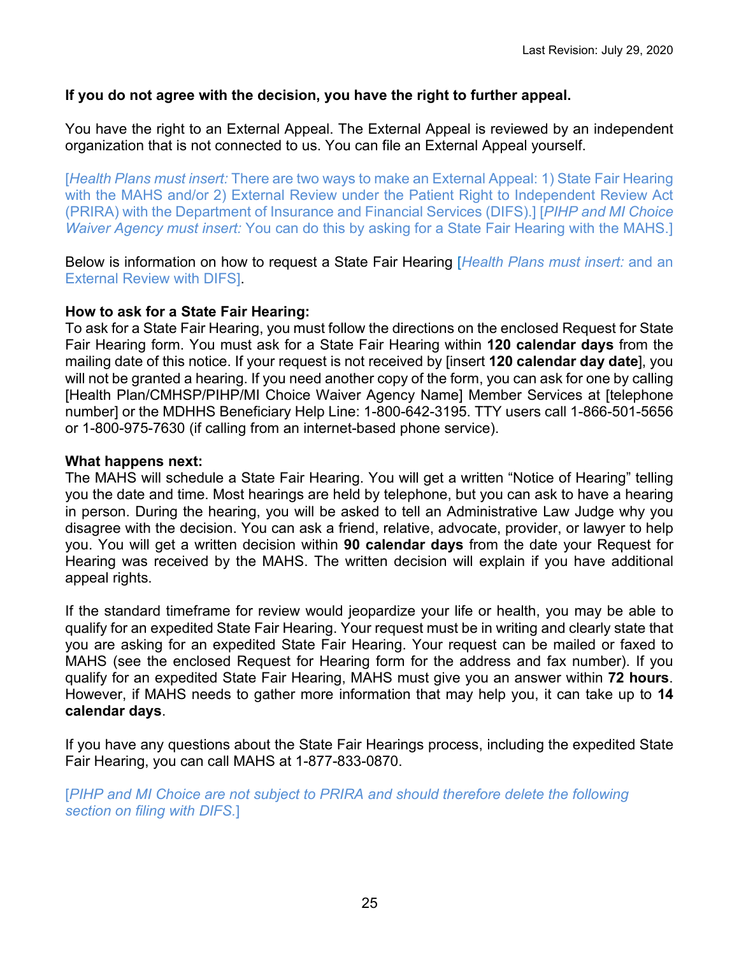## **If you do not agree with the decision, you have the right to further appeal.**

You have the right to an External Appeal. The External Appeal is reviewed by an independent organization that is not connected to us. You can file an External Appeal yourself.

[*Health Plans must insert:* There are two ways to make an External Appeal: 1) State Fair Hearing with the MAHS and/or 2) External Review under the Patient Right to Independent Review Act (PRIRA) with the Department of Insurance and Financial Services (DIFS).] [*PIHP and MI Choice Waiver Agency must insert:* You can do this by asking for a State Fair Hearing with the MAHS.]

Below is information on how to request a State Fair Hearing [*Health Plans must insert:* and an External Review with DIFS].

#### **How to ask for a State Fair Hearing:**

To ask for a State Fair Hearing, you must follow the directions on the enclosed Request for State Fair Hearing form. You must ask for a State Fair Hearing within **120 calendar days** from the mailing date of this notice. If your request is not received by [insert **120 calendar day date**], you will not be granted a hearing. If you need another copy of the form, you can ask for one by calling [Health Plan/CMHSP/PIHP/MI Choice Waiver Agency Name] Member Services at [telephone number] or the MDHHS Beneficiary Help Line: 1-800-642-3195. TTY users call 1-866-501-5656 or 1-800-975-7630 (if calling from an internet-based phone service).

#### **What happens next:**

The MAHS will schedule a State Fair Hearing. You will get a written "Notice of Hearing" telling you the date and time. Most hearings are held by telephone, but you can ask to have a hearing in person. During the hearing, you will be asked to tell an Administrative Law Judge why you disagree with the decision. You can ask a friend, relative, advocate, provider, or lawyer to help you. You will get a written decision within **90 calendar days** from the date your Request for Hearing was received by the MAHS. The written decision will explain if you have additional appeal rights.

If the standard timeframe for review would jeopardize your life or health, you may be able to qualify for an expedited State Fair Hearing. Your request must be in writing and clearly state that you are asking for an expedited State Fair Hearing. Your request can be mailed or faxed to MAHS (see the enclosed Request for Hearing form for the address and fax number). If you qualify for an expedited State Fair Hearing, MAHS must give you an answer within **72 hours**. However, if MAHS needs to gather more information that may help you, it can take up to **14 calendar days**.

If you have any questions about the State Fair Hearings process, including the expedited State Fair Hearing, you can call MAHS at 1-877-833-0870.

[*PIHP and MI Choice are not subject to PRIRA and should therefore delete the following section on filing with DIFS.*]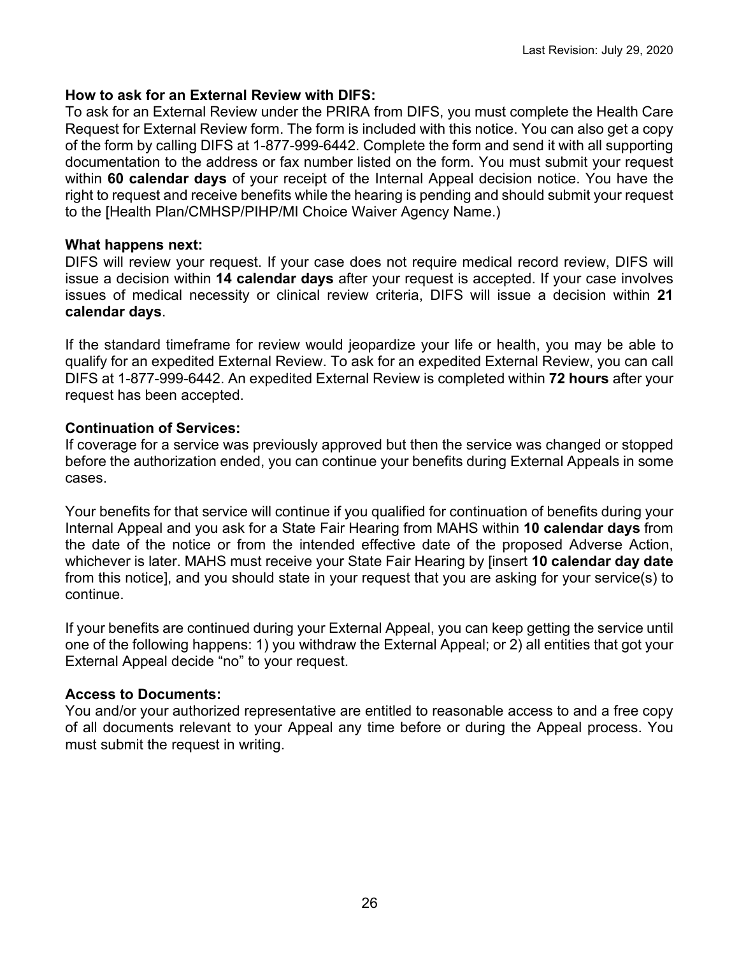## **How to ask for an External Review with DIFS:**

To ask for an External Review under the PRIRA from DIFS, you must complete the Health Care Request for External Review form. The form is included with this notice. You can also get a copy of the form by calling DIFS at 1-877-999-6442. Complete the form and send it with all supporting documentation to the address or fax number listed on the form. You must submit your request within **60 calendar days** of your receipt of the Internal Appeal decision notice. You have the right to request and receive benefits while the hearing is pending and should submit your request to the [Health Plan/CMHSP/PIHP/MI Choice Waiver Agency Name.)

#### **What happens next:**

DIFS will review your request. If your case does not require medical record review, DIFS will issue a decision within **14 calendar days** after your request is accepted. If your case involves issues of medical necessity or clinical review criteria, DIFS will issue a decision within **21 calendar days**.

If the standard timeframe for review would jeopardize your life or health, you may be able to qualify for an expedited External Review. To ask for an expedited External Review, you can call DIFS at 1-877-999-6442. An expedited External Review is completed within **72 hours** after your request has been accepted.

## **Continuation of Services:**

If coverage for a service was previously approved but then the service was changed or stopped before the authorization ended, you can continue your benefits during External Appeals in some cases.

Your benefits for that service will continue if you qualified for continuation of benefits during your Internal Appeal and you ask for a State Fair Hearing from MAHS within **10 calendar days** from the date of the notice or from the intended effective date of the proposed Adverse Action, whichever is later. MAHS must receive your State Fair Hearing by [insert **10 calendar day date** from this notice], and you should state in your request that you are asking for your service(s) to continue.

If your benefits are continued during your External Appeal, you can keep getting the service until one of the following happens: 1) you withdraw the External Appeal; or 2) all entities that got your External Appeal decide "no" to your request.

## **Access to Documents:**

You and/or your authorized representative are entitled to reasonable access to and a free copy of all documents relevant to your Appeal any time before or during the Appeal process. You must submit the request in writing.